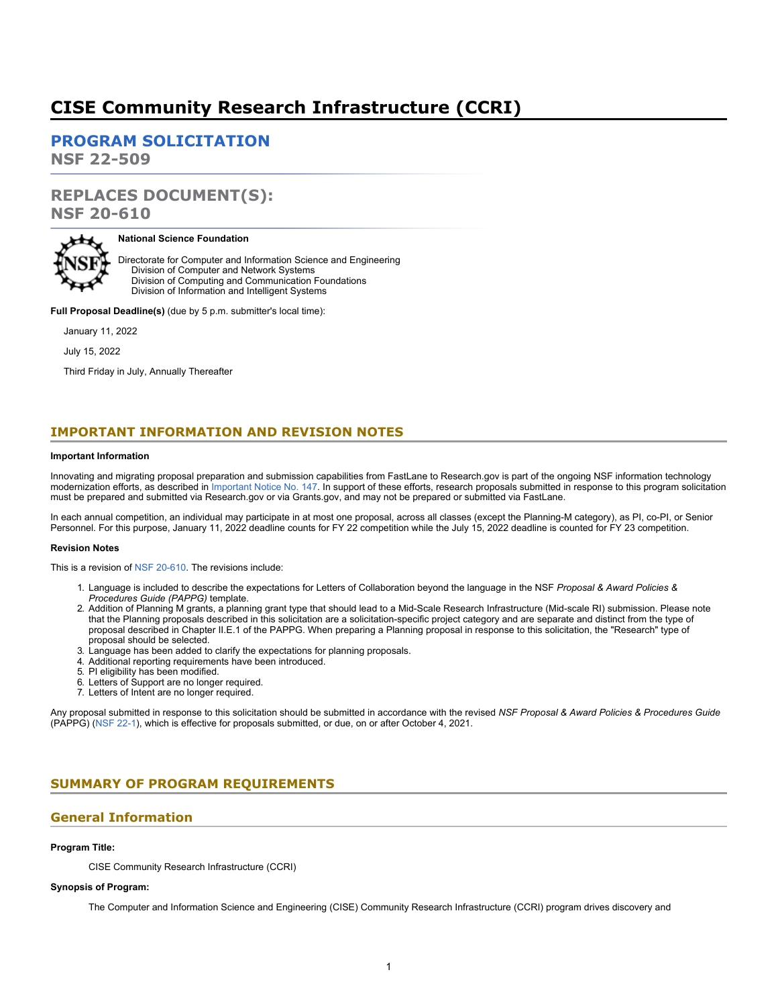# **CISE Community Research Infrastructure (CCRI)**

**[PROGRAM SOLICITATION](#page-2-0)**

**NSF 22-509**

# **REPLACES DOCUMENT(S): NSF 20-610**



#### **National Science Foundation**

Directorate for Computer and Information Science and Engineering Division of Computer and Network Systems Division of Computing and Communication Foundations Division of Information and Intelligent Systems

**Full Proposal Deadline(s)** (due by 5 p.m. submitter's local time):

January 11, 2022

July 15, 2022

Third Friday in July, Annually Thereafter

# **IMPORTANT INFORMATION AND REVISION NOTES**

#### **Important Information**

Innovating and migrating proposal preparation and submission capabilities from FastLane to Research.gov is part of the ongoing NSF information technology modernization efforts, as described in [Important Notice No. 147](https://www.nsf.gov/publications/pub_summ.jsp?ods_key=in147). In support of these efforts, research proposals submitted in response to this program solicitation must be prepared and submitted via Research.gov or via Grants.gov, and may not be prepared or submitted via FastLane.

In each annual competition, an individual may participate in at most one proposal, across all classes (except the Planning-M category), as PI, co-PI, or Senior Personnel. For this purpose, January 11, 2022 deadline counts for FY 22 competition while the July 15, 2022 deadline is counted for FY 23 competition.

#### **Revision Notes**

This is a revision of [NSF 20-610](https://www.nsf.gov/publications/pub_summ.jsp?ods_key=nsf20610). The revisions include:

- 1. Language is included to describe the expectations for Letters of Collaboration beyond the language in the NSF *Proposal & Award Policies & Procedures Guide (PAPPG)* template.
- 2. Addition of Planning M grants, a planning grant type that should lead to a Mid-Scale Research Infrastructure (Mid-scale RI) submission. Please note that the Planning proposals described in this solicitation are a solicitation-specific project category and are separate and distinct from the type of proposal described in Chapter II.E.1 of the PAPPG. When preparing a Planning proposal in response to this solicitation, the "Research" type of proposal should be selected.
- 3. Language has been added to clarify the expectations for planning proposals.
- 4. Additional reporting requirements have been introduced.
- 5. PI eligibility has been modified.
- 6. Letters of Support are no longer required.
- 7. Letters of Intent are no longer required.

Any proposal submitted in response to this solicitation should be submitted in accordance with the revised *NSF Proposal & Award Policies & Procedures Guide* (PAPPG) [\(NSF 22-1](https://www.nsf.gov/publications/pub_summ.jsp?ods_key=nsf22001&org=NSF)), which is effective for proposals submitted, or due, on or after October 4, 2021.

# <span id="page-0-0"></span>**SUMMARY OF PROGRAM REQUIREMENTS**

### **General Information**

#### **Program Title:**

CISE Community Research Infrastructure (CCRI)

### **Synopsis of Program:**

The Computer and Information Science and Engineering (CISE) Community Research Infrastructure (CCRI) program drives discovery and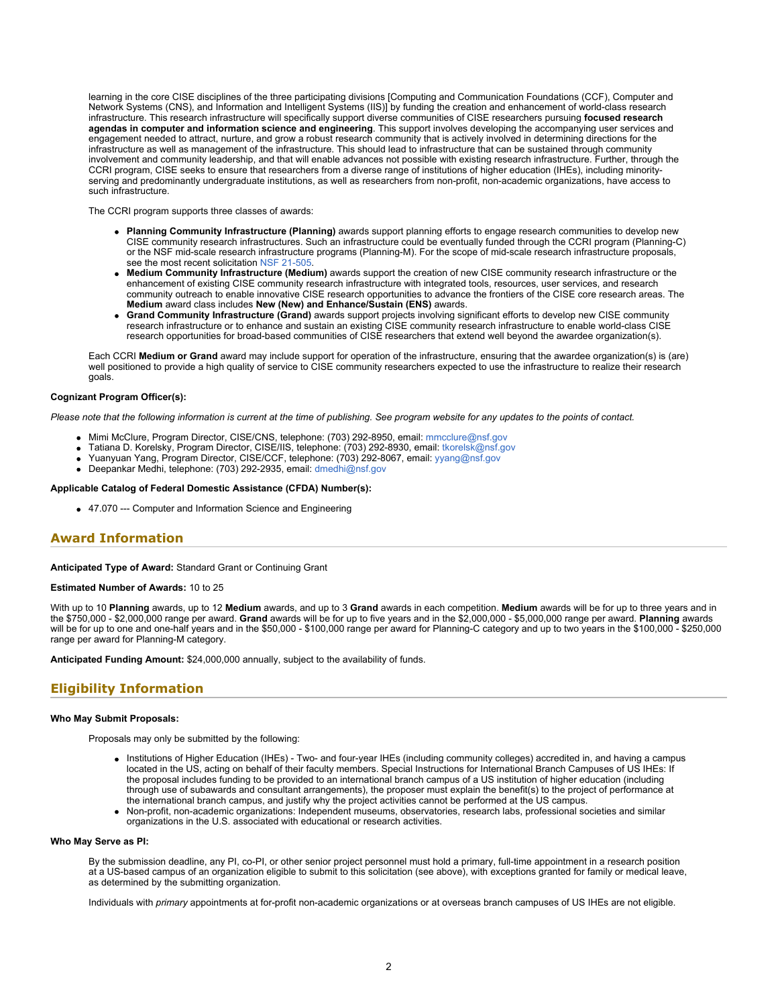learning in the core CISE disciplines of the three participating divisions [Computing and Communication Foundations (CCF), Computer and Network Systems (CNS), and Information and Intelligent Systems (IIS)] by funding the creation and enhancement of world-class research infrastructure. This research infrastructure will specifically support diverse communities of CISE researchers pursuing **focused research agendas in computer and information science and engineering**. This support involves developing the accompanying user services and engagement needed to attract, nurture, and grow a robust research community that is actively involved in determining directions for the infrastructure as well as management of the infrastructure. This should lead to infrastructure that can be sustained through community involvement and community leadership, and that will enable advances not possible with existing research infrastructure. Further, through the CCRI program, CISE seeks to ensure that researchers from a diverse range of institutions of higher education (IHEs), including minorityserving and predominantly undergraduate institutions, as well as researchers from non-profit, non-academic organizations, have access to such infrastructure.

The CCRI program supports three classes of awards:

- **Planning Community Infrastructure (Planning)** awards support planning efforts to engage research communities to develop new CISE community research infrastructures. Such an infrastructure could be eventually funded through the CCRI program (Planning-C) or the NSF mid-scale research infrastructure programs (Planning-M). For the scope of mid-scale research infrastructure proposals, see the most recent solicitation [NSF 21-505](https://www.nsf.gov/publications/pub_summ.jsp?ods_key=nsf21505).
- **Medium Community Infrastructure (Medium)** awards support the creation of new CISE community research infrastructure or the enhancement of existing CISE community research infrastructure with integrated tools, resources, user services, and research community outreach to enable innovative CISE research opportunities to advance the frontiers of the CISE core research areas. The **Medium** award class includes **New (New) and Enhance/Sustain (ENS)** awards.
- **Grand Community Infrastructure (Grand)** awards support projects involving significant efforts to develop new CISE community research infrastructure or to enhance and sustain an existing CISE community research infrastructure to enable world-class CISE research opportunities for broad-based communities of CISE researchers that extend well beyond the awardee organization(s).

Each CCRI **Medium or Grand** award may include support for operation of the infrastructure, ensuring that the awardee organization(s) is (are) well positioned to provide a high quality of service to CISE community researchers expected to use the infrastructure to realize their research goals.

#### **Cognizant Program Officer(s):**

*Please note that the following information is current at the time of publishing. See program website for any updates to the points of contact.*

- Mimi McClure, Program Director, CISE/CNS, telephone: (703) 292-8950, email: [mmcclure@nsf.gov](mailto:mmcclure@nsf.gov)
- Tatiana D. Korelsky, Program Director, CISE/IIS, telephone: (703) 292-8930, email: [tkorelsk@nsf.gov](mailto:tkorelsk@nsf.gov)
- Yuanyuan Yang, Program Director, CISE/CCF, telephone: (703) 292-8067, email: [yyang@nsf.gov](mailto:yyang@nsf.gov)
- Deepankar Medhi, telephone: (703) 292-2935, email: [dmedhi@nsf.gov](mailto:dmedhi@nsf.gov)

#### **Applicable Catalog of Federal Domestic Assistance (CFDA) Number(s):**

47.070 --- Computer and Information Science and Engineering

### **Award Information**

**Anticipated Type of Award:** Standard Grant or Continuing Grant

**Estimated Number of Awards:** 10 to 25

With up to 10 **Planning** awards, up to 12 **Medium** awards, and up to 3 **Grand** awards in each competition. **Medium** awards will be for up to three years and in the \$750,000 - \$2,000,000 range per award. **Grand** awards will be for up to five years and in the \$2,000,000 - \$5,000,000 range per award. **Planning** awards will be for up to one and one-half years and in the \$50,000 - \$100,000 range per award for Planning-C category and up to two years in the \$100,000 - \$250,000 - \$250,000 - \$250,000 - \$250,000 - \$250,000 - \$250,000 - \$250,00 range per award for Planning-M category.

**Anticipated Funding Amount:** \$24,000,000 annually, subject to the availability of funds.

### **Eligibility Information**

#### **Who May Submit Proposals:**

Proposals may only be submitted by the following:

- Institutions of Higher Education (IHEs) Two- and four-year IHEs (including community colleges) accredited in, and having a campus located in the US, acting on behalf of their faculty members. Special Instructions for International Branch Campuses of US IHEs: If the proposal includes funding to be provided to an international branch campus of a US institution of higher education (including through use of subawards and consultant arrangements), the proposer must explain the benefit(s) to the project of performance at the international branch campus, and justify why the project activities cannot be performed at the US campus.
- Non-profit, non-academic organizations: Independent museums, observatories, research labs, professional societies and similar organizations in the U.S. associated with educational or research activities.

#### **Who May Serve as PI:**

By the submission deadline, any PI, co-PI, or other senior project personnel must hold a primary, full-time appointment in a research position at a US-based campus of an organization eligible to submit to this solicitation (see above), with exceptions granted for family or medical leave, as determined by the submitting organization.

Individuals with *primary* appointments at for-profit non-academic organizations or at overseas branch campuses of US IHEs are not eligible.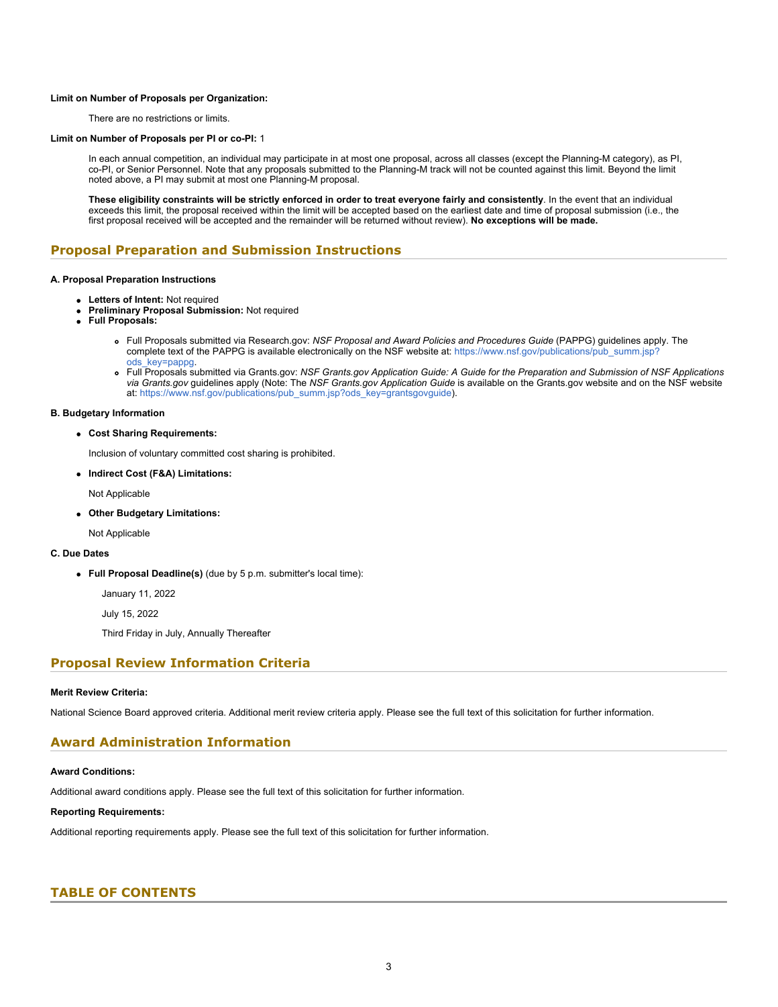#### **Limit on Number of Proposals per Organization:**

There are no restrictions or limits.

#### **Limit on Number of Proposals per PI or co-PI:** 1

In each annual competition, an individual may participate in at most one proposal, across all classes (except the Planning-M category), as PI, co-PI, or Senior Personnel. Note that any proposals submitted to the Planning-M track will not be counted against this limit. Beyond the limit noted above, a PI may submit at most one Planning-M proposal.

**These eligibility constraints will be strictly enforced in order to treat everyone fairly and consistently**. In the event that an individual exceeds this limit, the proposal received within the limit will be accepted based on the earliest date and time of proposal submission (i.e., the first proposal received will be accepted and the remainder will be returned without review). **No exceptions will be made.**

### **Proposal Preparation and Submission Instructions**

#### **A. Proposal Preparation Instructions**

- **Letters of Intent:** Not required
- **Preliminary Proposal Submission:** Not required
- **Full Proposals:**
	- Full Proposals submitted via Research.gov: *NSF Proposal and Award Policies and Procedures Guide* (PAPPG) guidelines apply. The complete text of the PAPPG is available electronically on the NSF website at: [https://www.nsf.gov/publications/pub\\_summ.jsp?](https://www.nsf.gov/publications/pub_summ.jsp?ods_key=pappg) [ods\\_key=pappg.](https://www.nsf.gov/publications/pub_summ.jsp?ods_key=pappg)
	- Full Proposals submitted via Grants.gov: *NSF Grants.gov Application Guide: A Guide for the Preparation and Submission of NSF Applications via Grants.gov* guidelines apply (Note: The *NSF Grants.gov Application Guide* is available on the Grants.gov website and on the NSF website at: [https://www.nsf.gov/publications/pub\\_summ.jsp?ods\\_key=grantsgovguide](https://www.nsf.gov/publications/pub_summ.jsp?ods_key=grantsgovguide)).

#### **B. Budgetary Information**

#### **Cost Sharing Requirements:**

Inclusion of voluntary committed cost sharing is prohibited.

**Indirect Cost (F&A) Limitations:**

Not Applicable

**Other Budgetary Limitations:**

Not Applicable

#### **C. Due Dates**

**Full Proposal Deadline(s)** (due by 5 p.m. submitter's local time):

January 11, 2022

July 15, 2022

Third Friday in July, Annually Thereafter

### **Proposal Review Information Criteria**

#### **Merit Review Criteria:**

National Science Board approved criteria. Additional merit review criteria apply. Please see the full text of this solicitation for further information.

### **Award Administration Information**

#### **Award Conditions:**

Additional award conditions apply. Please see the full text of this solicitation for further information.

#### **Reporting Requirements:**

Additional reporting requirements apply. Please see the full text of this solicitation for further information.

### <span id="page-2-0"></span>**TABLE OF CONTENTS**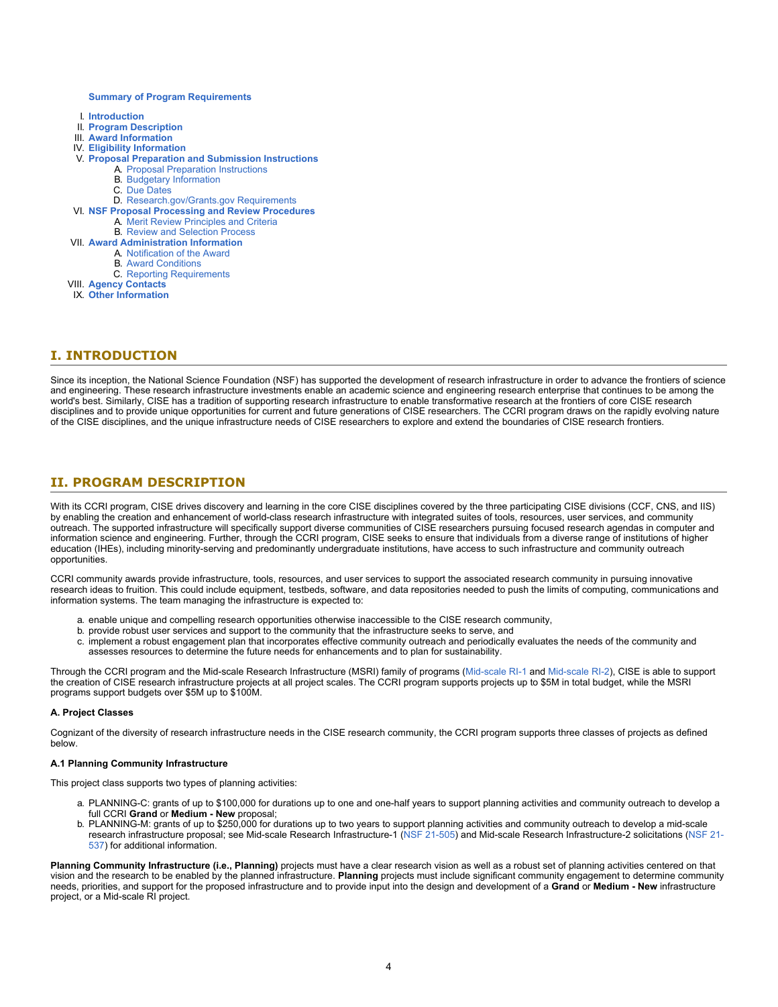#### **[Summary of Program Requirements](#page-0-0)**

- I. **[Introduction](#page-3-0)**
- II. **[Program Description](#page-3-1)**
- III. **[Award Information](#page-5-0)**
- IV. **[Eligibility Information](#page-6-0)**
- V. **[Proposal Preparation and Submission Instructions](#page-6-1)**
	- A. [Proposal Preparation Instructions](#page-6-1)
	- B. [Budgetary Information](#page-9-0)
	- C. [Due Dates](#page-9-1)
	- D. [Research.gov/Grants.gov Requirements](#page-9-2)
- VI. **[NSF Proposal Processing and Review Procedures](#page-10-0)**
	- A. [Merit Review Principles and Criteria](#page-10-1)
	- B. [Review and Selection Process](#page-12-0)
- VII. **[Award Administration Information](#page-12-1)**
	- A. [Notification of the Award](#page-12-2)
	- B. [Award Conditions](#page-13-0)
	- C. [Reporting Requirements](#page-13-1)
- VIII. **[Agency Contacts](#page-13-2)**
- IX. **[Other Information](#page-14-0)**

### <span id="page-3-0"></span>**I. INTRODUCTION**

Since its inception, the National Science Foundation (NSF) has supported the development of research infrastructure in order to advance the frontiers of science and engineering. These research infrastructure investments enable an academic science and engineering research enterprise that continues to be among the world's best. Similarly, CISE has a tradition of supporting research infrastructure to enable transformative research at the frontiers of core CISE research disciplines and to provide unique opportunities for current and future generations of CISE researchers. The CCRI program draws on the rapidly evolving nature of the CISE disciplines, and the unique infrastructure needs of CISE researchers to explore and extend the boundaries of CISE research frontiers.

### <span id="page-3-1"></span>**II. PROGRAM DESCRIPTION**

With its CCRI program, CISE drives discovery and learning in the core CISE disciplines covered by the three participating CISE divisions (CCF, CNS, and IIS) by enabling the creation and enhancement of world-class research infrastructure with integrated suites of tools, resources, user services, and community outreach. The supported infrastructure will specifically support diverse communities of CISE researchers pursuing focused research agendas in computer and information science and engineering. Further, through the CCRI program, CISE seeks to ensure that individuals from a diverse range of institutions of higher education (IHEs), including minority-serving and predominantly undergraduate institutions, have access to such infrastructure and community outreach opportunities.

CCRI community awards provide infrastructure, tools, resources, and user services to support the associated research community in pursuing innovative research ideas to fruition. This could include equipment, testbeds, software, and data repositories needed to push the limits of computing, communications and information systems. The team managing the infrastructure is expected to:

- a. enable unique and compelling research opportunities otherwise inaccessible to the CISE research community,
- b. provide robust user services and support to the community that the infrastructure seeks to serve, and
- c. implement a robust engagement plan that incorporates effective community outreach and periodically evaluates the needs of the community and assesses resources to determine the future needs for enhancements and to plan for sustainability.

Through the CCRI program and the Mid-scale Research Infrastructure (MSRI) family of programs [\(Mid-scale RI-1](https://www.nsf.gov/funding/pgm_summ.jsp?pims_id=505602) and [Mid-scale RI-2](https://www.nsf.gov/funding/pgm_summ.jsp?pims_id=505550)), CISE is able to support the creation of CISE research infrastructure projects at all project scales. The CCRI program supports projects up to \$5M in total budget, while the MSRI programs support budgets over \$5M up to \$100M.

#### **A. Project Classes**

Cognizant of the diversity of research infrastructure needs in the CISE research community, the CCRI program supports three classes of projects as defined below.

#### **A.1 Planning Community Infrastructure**

This project class supports two types of planning activities:

- a. PLANNING-C: grants of up to \$100,000 for durations up to one and one-half years to support planning activities and community outreach to develop a full CCRI **Grand** or **Medium - New** proposal;
- b. PLANNING-M: grants of up to \$250,000 for durations up to two years to support planning activities and community outreach to develop a mid-scale research infrastructure proposal; see Mid-scale Research Infrastructure-1 [\(NSF 21-505](https://www.nsf.gov/funding/pgm_summ.jsp?pims_id=505602)) and Mid-scale Research Infrastructure-2 solicitations [\(NSF 21-](https://www.nsf.gov/funding/pgm_summ.jsp?pims_id=505550) [537](https://www.nsf.gov/funding/pgm_summ.jsp?pims_id=505550)) for additional information.

Planning Community Infrastructure (i.e., Planning) projects must have a clear research vision as well as a robust set of planning activities centered on that vision and the research to be enabled by the planned infrastructure. **Planning** projects must include significant community engagement to determine community needs, priorities, and support for the proposed infrastructure and to provide input into the design and development of a **Grand** or **Medium - New** infrastructure project, or a Mid-scale RI project.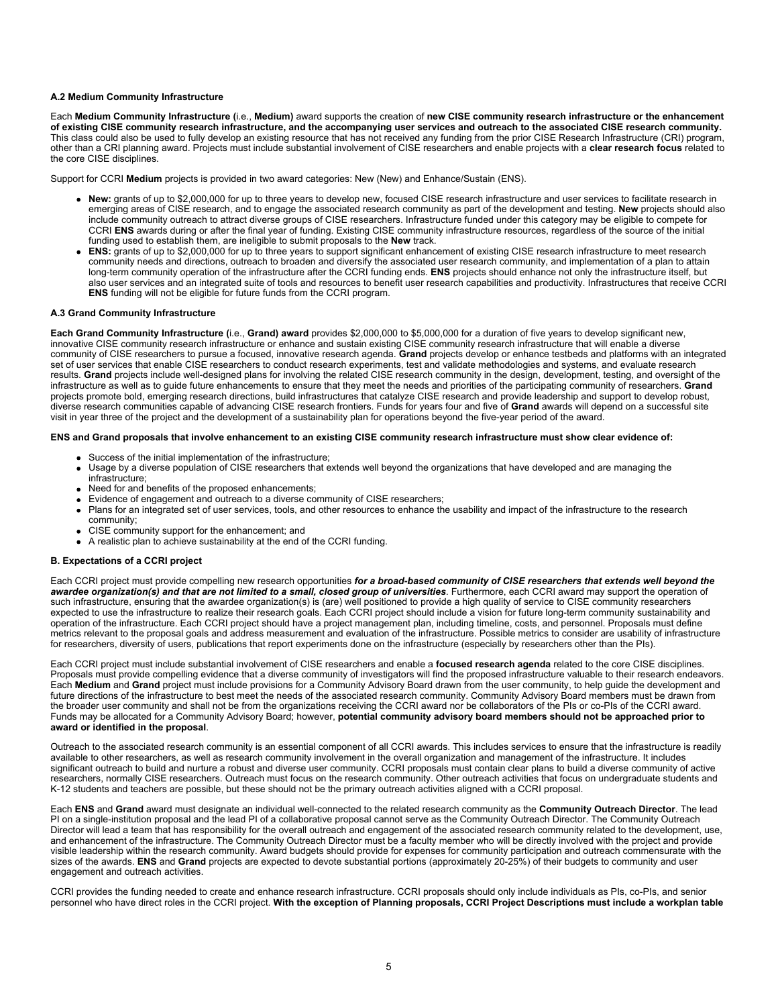#### **A.2 Medium Community Infrastructure**

Each **Medium Community Infrastructure (**i.e., **Medium)** award supports the creation of **new CISE community research infrastructure or the enhancement of existing CISE community research infrastructure, and the accompanying user services and outreach to the associated CISE research community.** This class could also be used to fully develop an existing resource that has not received any funding from the prior CISE Research Infrastructure (CRI) program, other than a CRI planning award. Projects must include substantial involvement of CISE researchers and enable projects with a **clear research focus** related to the core CISE disciplines.

Support for CCRI **Medium** projects is provided in two award categories: New (New) and Enhance/Sustain (ENS).

- **New:** grants of up to \$2,000,000 for up to three years to develop new, focused CISE research infrastructure and user services to facilitate research in emerging areas of CISE research, and to engage the associated research community as part of the development and testing. **New** projects should also include community outreach to attract diverse groups of CISE researchers. Infrastructure funded under this category may be eligible to compete for CCRI **ENS** awards during or after the final year of funding. Existing CISE community infrastructure resources, regardless of the source of the initial funding used to establish them, are ineligible to submit proposals to the **New** track.
- **ENS:** grants of up to \$2,000,000 for up to three years to support significant enhancement of existing CISE research infrastructure to meet research community needs and directions, outreach to broaden and diversify the associated user research community, and implementation of a plan to attain long-term community operation of the infrastructure after the CCRI funding ends. **ENS** projects should enhance not only the infrastructure itself, but also user services and an integrated suite of tools and resources to benefit user research capabilities and productivity. Infrastructures that receive CCRI **ENS** funding will not be eligible for future funds from the CCRI program.

#### **A.3 Grand Community Infrastructure**

**Each Grand Community Infrastructure (**i.e., **Grand) award** provides \$2,000,000 to \$5,000,000 for a duration of five years to develop significant new, innovative CISE community research infrastructure or enhance and sustain existing CISE community research infrastructure that will enable a diverse community of CISE researchers to pursue a focused, innovative research agenda. **Grand** projects develop or enhance testbeds and platforms with an integrated set of user services that enable CISE researchers to conduct research experiments, test and validate methodologies and systems, and evaluate research results. Grand projects include well-designed plans for involving the related CISE research community in the design, development, testing, and oversight of the infrastructure as well as to guide future enhancements to ensure that they meet the needs and priorities of the participating community of researchers. **Grand** projects promote bold, emerging research directions, build infrastructures that catalyze CISE research and provide leadership and support to develop robust, diverse research communities capable of advancing CISE research frontiers. Funds for years four and five of **Grand** awards will depend on a successful site visit in year three of the project and the development of a sustainability plan for operations beyond the five-year period of the award.

#### **ENS and Grand proposals that involve enhancement to an existing CISE community research infrastructure must show clear evidence of:**

- Success of the initial implementation of the infrastructure;
- Usage by a diverse population of CISE researchers that extends well beyond the organizations that have developed and are managing the infrastructure;
- Need for and benefits of the proposed enhancements;
- Evidence of engagement and outreach to a diverse community of CISE researchers;
- Plans for an integrated set of user services, tools, and other resources to enhance the usability and impact of the infrastructure to the research community;
- CISE community support for the enhancement; and
- A realistic plan to achieve sustainability at the end of the CCRI funding.

#### **B. Expectations of a CCRI project**

Each CCRI project must provide compelling new research opportunities *for a broad-based community of CISE researchers that extends well beyond the* awardee organization(s) and that are not limited to a small, closed group of universities. Furthermore, each CCRI award may support the operation of such infrastructure, ensuring that the awardee organization(s) is (are) well positioned to provide a high quality of service to CISE community researchers expected to use the infrastructure to realize their research goals. Each CCRI project should include a vision for future long-term community sustainability and operation of the infrastructure. Each CCRI project should have a project management plan, including timeline, costs, and personnel. Proposals must define metrics relevant to the proposal goals and address measurement and evaluation of the infrastructure. Possible metrics to consider are usability of infrastructure for researchers, diversity of users, publications that report experiments done on the infrastructure (especially by researchers other than the PIs).

Each CCRI project must include substantial involvement of CISE researchers and enable a **focused research agenda** related to the core CISE disciplines. Proposals must provide compelling evidence that a diverse community of investigators will find the proposed infrastructure valuable to their research endeavors. Each **Medium** and **Grand** project must include provisions for a Community Advisory Board drawn from the user community, to help guide the development and future directions of the infrastructure to best meet the needs of the associated research community. Community Advisory Board members must be drawn from the broader user community and shall not be from the organizations receiving the CCRI award nor be collaborators of the PIs or co-PIs of the CCRI award. Funds may be allocated for a Community Advisory Board; however, **potential community advisory board members should not be approached prior to award or identified in the proposal**.

Outreach to the associated research community is an essential component of all CCRI awards. This includes services to ensure that the infrastructure is readily available to other researchers, as well as research community involvement in the overall organization and management of the infrastructure. It includes significant outreach to build and nurture a robust and diverse user community. CCRI proposals must contain clear plans to build a diverse community of active researchers, normally CISE researchers. Outreach must focus on the research community. Other outreach activities that focus on undergraduate students and K-12 students and teachers are possible, but these should not be the primary outreach activities aligned with a CCRI proposal.

Each **ENS** and **Grand** award must designate an individual well-connected to the related research community as the **Community Outreach Director**. The lead PI on a single-institution proposal and the lead PI of a collaborative proposal cannot serve as the Community Outreach Director. The Community Outreach Director will lead a team that has responsibility for the overall outreach and engagement of the associated research community related to the development, use, and enhancement of the infrastructure. The Community Outreach Director must be a faculty member who will be directly involved with the project and provide visible leadership within the research community. Award budgets should provide for expenses for community participation and outreach commensurate with the sizes of the awards. **ENS** and **Grand** projects are expected to devote substantial portions (approximately 20-25%) of their budgets to community and user engagement and outreach activities.

CCRI provides the funding needed to create and enhance research infrastructure. CCRI proposals should only include individuals as PIs, co-PIs, and senior personnel who have direct roles in the CCRI project. **With the exception of Planning proposals, CCRI Project Descriptions must include a workplan table**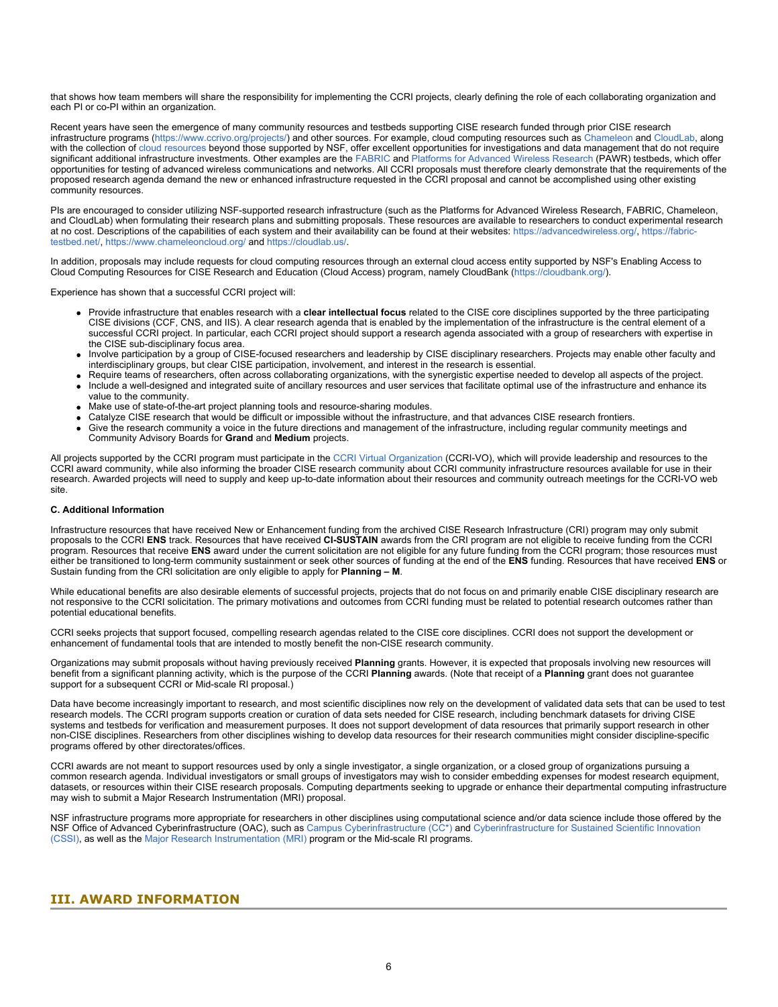that shows how team members will share the responsibility for implementing the CCRI projects, clearly defining the role of each collaborating organization and each PI or co-PI within an organization.

Recent years have seen the emergence of many community resources and testbeds supporting CISE research funded through prior CISE research infrastructure programs ([https://www.ccrivo.org/projects/\)](https://www.nsf.gov/cgi-bin/goodbye?https://www.ccrivo.org/projects/) and other sources. For example, cloud computing resources such as [Chameleon](https://www.nsf.gov/cgi-bin/goodbye?https://www.chameleoncloud.org/) and [CloudLab](https://www.nsf.gov/cgi-bin/goodbye?https://cloudlab.us/), along with the collection of [cloud resources](https://www.nsf.gov/cgi-bin/goodbye?https://www.cloudbank.org/) beyond those supported by NSF, offer excellent opportunities for investigations and data management that do not require significant additional infrastructure investments. Other examples are the [FABRIC](https://www.nsf.gov/cgi-bin/goodbye?https://fabric-testbed.net/) and [Platforms for Advanced Wireless Research](https://www.nsf.gov/cgi-bin/goodbye?https://advancedwireless.org/platforms/) (PAWR) testbeds, which offer opportunities for testing of advanced wireless communications and networks. All CCRI proposals must therefore clearly demonstrate that the requirements of the proposed research agenda demand the new or enhanced infrastructure requested in the CCRI proposal and cannot be accomplished using other existing community resources.

PIs are encouraged to consider utilizing NSF-supported research infrastructure (such as the Platforms for Advanced Wireless Research, FABRIC, Chameleon, and CloudLab) when formulating their research plans and submitting proposals. These resources are available to researchers to conduct experimental research at no cost. Descriptions of the capabilities of each system and their availability can be found at their websites: [https://advancedwireless.org/](https://www.nsf.gov/cgi-bin/goodbye?https://advancedwireless.org/), [https://fabric](https://www.nsf.gov/cgi-bin/goodbye?https://fabric-testbed.net/)[testbed.net/,](https://www.nsf.gov/cgi-bin/goodbye?https://fabric-testbed.net/) [https://www.chameleoncloud.org/](https://www.nsf.gov/cgi-bin/goodbye?https://www.chameleoncloud.org/) and [https://cloudlab.us/](https://www.nsf.gov/cgi-bin/goodbye?https://cloudlab.us/).

In addition, proposals may include requests for cloud computing resources through an external cloud access entity supported by NSF's Enabling Access to Cloud Computing Resources for CISE Research and Education (Cloud Access) program, namely CloudBank [\(https://cloudbank.org/](https://www.nsf.gov/cgi-bin/goodbye?https://cloudbank.org/)).

Experience has shown that a successful CCRI project will:

- Provide infrastructure that enables research with a **clear intellectual focus** related to the CISE core disciplines supported by the three participating CISE divisions (CCF, CNS, and IIS). A clear research agenda that is enabled by the implementation of the infrastructure is the central element of a successful CCRI project. In particular, each CCRI project should support a research agenda associated with a group of researchers with expertise in the CISE sub-disciplinary focus area.
- Involve participation by a group of CISE-focused researchers and leadership by CISE disciplinary researchers. Projects may enable other faculty and interdisciplinary groups, but clear CISE participation, involvement, and interest in the research is essential.
- Require teams of researchers, often across collaborating organizations, with the synergistic expertise needed to develop all aspects of the project. Include a well-designed and integrated suite of ancillary resources and user services that facilitate optimal use of the infrastructure and enhance its value to the community.
- Make use of state-of-the-art project planning tools and resource-sharing modules.
- Catalyze CISE research that would be difficult or impossible without the infrastructure, and that advances CISE research frontiers.
- Give the research community a voice in the future directions and management of the infrastructure, including regular community meetings and Community Advisory Boards for **Grand** and **Medium** projects.

All projects supported by the CCRI program must participate in the [CCRI Virtual Organization](https://www.nsf.gov/cgi-bin/goodbye?https://www.ccrivo.org/) (CCRI-VO), which will provide leadership and resources to the CCRI award community, while also informing the broader CISE research community about CCRI community infrastructure resources available for use in their research. Awarded projects will need to supply and keep up-to-date information about their resources and community outreach meetings for the CCRI-VO web site.

#### **C. Additional Information**

Infrastructure resources that have received New or Enhancement funding from the archived CISE Research Infrastructure (CRI) program may only submit proposals to the CCRI **ENS** track. Resources that have received **CI-SUSTAIN** awards from the CRI program are not eligible to receive funding from the CCRI program. Resources that receive **ENS** award under the current solicitation are not eligible for any future funding from the CCRI program; those resources must either be transitioned to long-term community sustainment or seek other sources of funding at the end of the **ENS** funding. Resources that have received **ENS** or Sustain funding from the CRI solicitation are only eligible to apply for **Planning – M**.

While educational benefits are also desirable elements of successful projects, projects that do not focus on and primarily enable CISE disciplinary research are not responsive to the CCRI solicitation. The primary motivations and outcomes from CCRI funding must be related to potential research outcomes rather than potential educational benefits.

CCRI seeks projects that support focused, compelling research agendas related to the CISE core disciplines. CCRI does not support the development or enhancement of fundamental tools that are intended to mostly benefit the non-CISE research community.

Organizations may submit proposals without having previously received **Planning** grants. However, it is expected that proposals involving new resources will benefit from a significant planning activity, which is the purpose of the CCRI **Planning** awards. (Note that receipt of a **Planning** grant does not guarantee support for a subsequent CCRI or Mid-scale RI proposal.)

Data have become increasingly important to research, and most scientific disciplines now rely on the development of validated data sets that can be used to test research models. The CCRI program supports creation or curation of data sets needed for CISE research, including benchmark datasets for driving CISE systems and testbeds for verification and measurement purposes. It does not support development of data resources that primarily support research in other non-CISE disciplines. Researchers from other disciplines wishing to develop data resources for their research communities might consider discipline-specific programs offered by other directorates/offices.

CCRI awards are not meant to support resources used by only a single investigator, a single organization, or a closed group of organizations pursuing a common research agenda. Individual investigators or small groups of investigators may wish to consider embedding expenses for modest research equipment, datasets, or resources within their CISE research proposals. Computing departments seeking to upgrade or enhance their departmental computing infrastructure may wish to submit a Major Research Instrumentation (MRI) proposal.

NSF infrastructure programs more appropriate for researchers in other disciplines using computational science and/or data science include those offered by the NSF Office of Advanced Cyberinfrastructure (OAC), such as [Campus Cyberinfrastructure \(CC\\*\)](https://www.nsf.gov/funding/pgm_summ.jsp?pims_id=504748) and [Cyberinfrastructure for Sustained Scientific Innovation](https://www.nsf.gov/funding/pgm_summ.jsp?pims_id=505505) [\(CSSI\),](https://www.nsf.gov/funding/pgm_summ.jsp?pims_id=505505) as well as the [Major Research Instrumentation \(MRI\)](https://www.nsf.gov/funding/pgm_summ.jsp?pims_id=5260) program or the Mid-scale RI programs.

### <span id="page-5-0"></span>**III. AWARD INFORMATION**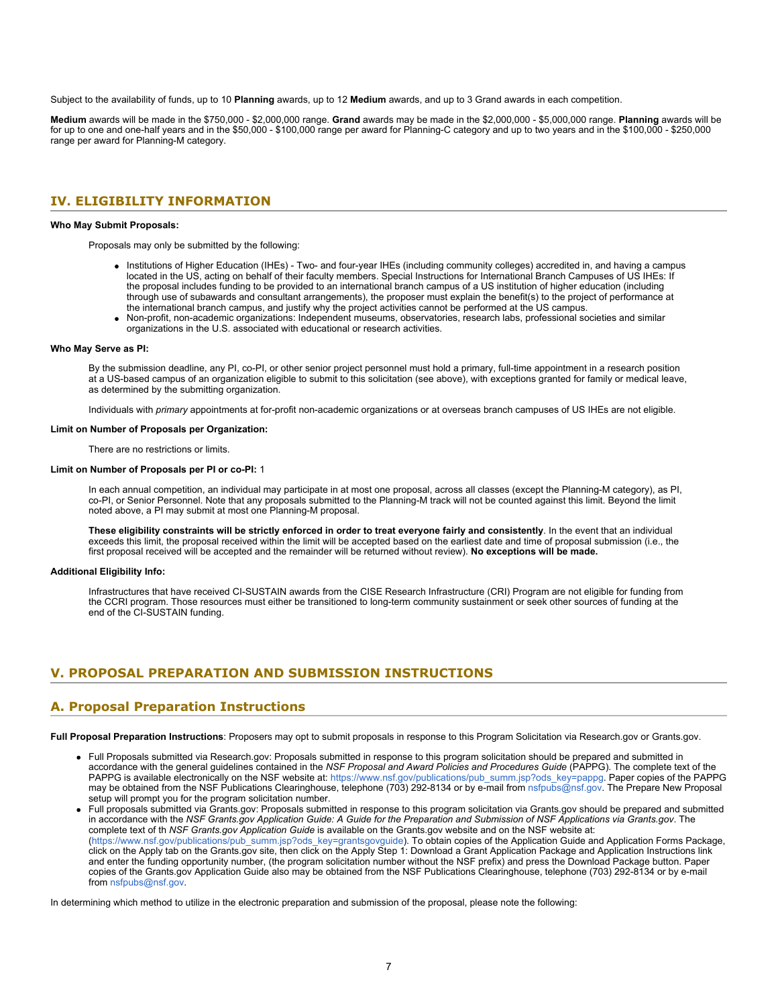Subject to the availability of funds, up to 10 **Planning** awards, up to 12 **Medium** awards, and up to 3 Grand awards in each competition.

**Medium** awards will be made in the \$750,000 - \$2,000,000 range. **Grand** awards may be made in the \$2,000,000 - \$5,000,000 range. **Planning** awards will be for up to one and one-half years and in the \$50,000 - \$100,000 range per award for Planning-C category and up to two years and in the \$100,000 - \$250,000 range per award for Planning-M category.

### <span id="page-6-0"></span>**IV. ELIGIBILITY INFORMATION**

#### **Who May Submit Proposals:**

Proposals may only be submitted by the following:

- Institutions of Higher Education (IHEs) Two- and four-year IHEs (including community colleges) accredited in, and having a campus located in the US, acting on behalf of their faculty members. Special Instructions for International Branch Campuses of US IHEs: If the proposal includes funding to be provided to an international branch campus of a US institution of higher education (including through use of subawards and consultant arrangements), the proposer must explain the benefit(s) to the project of performance at the international branch campus, and justify why the project activities cannot be performed at the US campus.
- Non-profit, non-academic organizations: Independent museums, observatories, research labs, professional societies and similar organizations in the U.S. associated with educational or research activities.

#### **Who May Serve as PI:**

By the submission deadline, any PI, co-PI, or other senior project personnel must hold a primary, full-time appointment in a research position at a US-based campus of an organization eligible to submit to this solicitation (see above), with exceptions granted for family or medical leave, as determined by the submitting organization.

Individuals with *primary* appointments at for-profit non-academic organizations or at overseas branch campuses of US IHEs are not eligible.

#### **Limit on Number of Proposals per Organization:**

There are no restrictions or limits.

#### **Limit on Number of Proposals per PI or co-PI:** 1

In each annual competition, an individual may participate in at most one proposal, across all classes (except the Planning-M category), as PI, co-PI, or Senior Personnel. Note that any proposals submitted to the Planning-M track will not be counted against this limit. Beyond the limit noted above, a PI may submit at most one Planning-M proposal.

**These eligibility constraints will be strictly enforced in order to treat everyone fairly and consistently**. In the event that an individual exceeds this limit, the proposal received within the limit will be accepted based on the earliest date and time of proposal submission (i.e., the first proposal received will be accepted and the remainder will be returned without review). **No exceptions will be made.**

#### **Additional Eligibility Info:**

Infrastructures that have received CI-SUSTAIN awards from the CISE Research Infrastructure (CRI) Program are not eligible for funding from the CCRI program. Those resources must either be transitioned to long-term community sustainment or seek other sources of funding at the end of the CI-SUSTAIN funding.

### <span id="page-6-1"></span>**V. PROPOSAL PREPARATION AND SUBMISSION INSTRUCTIONS**

### **A. Proposal Preparation Instructions**

**Full Proposal Preparation Instructions**: Proposers may opt to submit proposals in response to this Program Solicitation via Research.gov or Grants.gov.

- Full Proposals submitted via Research.gov: Proposals submitted in response to this program solicitation should be prepared and submitted in accordance with the general guidelines contained in the *NSF Proposal and Award Policies and Procedures Guide* (PAPPG). The complete text of the PAPPG is available electronically on the NSF website at: [https://www.nsf.gov/publications/pub\\_summ.jsp?ods\\_key=pappg](https://www.nsf.gov/publications/pub_summ.jsp?ods_key=pappg). Paper copies of the PAPPG may be obtained from the NSF Publications Clearinghouse, telephone (703) 292-8134 or by e-mail from [nsfpubs@nsf.gov.](mailto:nsfpubs@nsf.gov) The Prepare New Proposal setup will prompt you for the program solicitation number.
- Full proposals submitted via Grants.gov: Proposals submitted in response to this program solicitation via Grants.gov should be prepared and submitted in accordance with the *NSF Grants.gov Application Guide: A Guide for the Preparation and Submission of NSF Applications via Grants.gov*. The complete text of th *NSF Grants.gov Application Guide* is available on the Grants.gov website and on the NSF website at: [\(https://www.nsf.gov/publications/pub\\_summ.jsp?ods\\_key=grantsgovguide](https://www.nsf.gov/publications/pub_summ.jsp?ods_key=grantsgovguide)). To obtain copies of the Application Guide and Application Forms Package, click on the Apply tab on the Grants.gov site, then click on the Apply Step 1: Download a Grant Application Package and Application Instructions link and enter the funding opportunity number, (the program solicitation number without the NSF prefix) and press the Download Package button. Paper copies of the Grants.gov Application Guide also may be obtained from the NSF Publications Clearinghouse, telephone (703) 292-8134 or by e-mail from [nsfpubs@nsf.gov](mailto:nsfpubs@nsf.gov).

In determining which method to utilize in the electronic preparation and submission of the proposal, please note the following: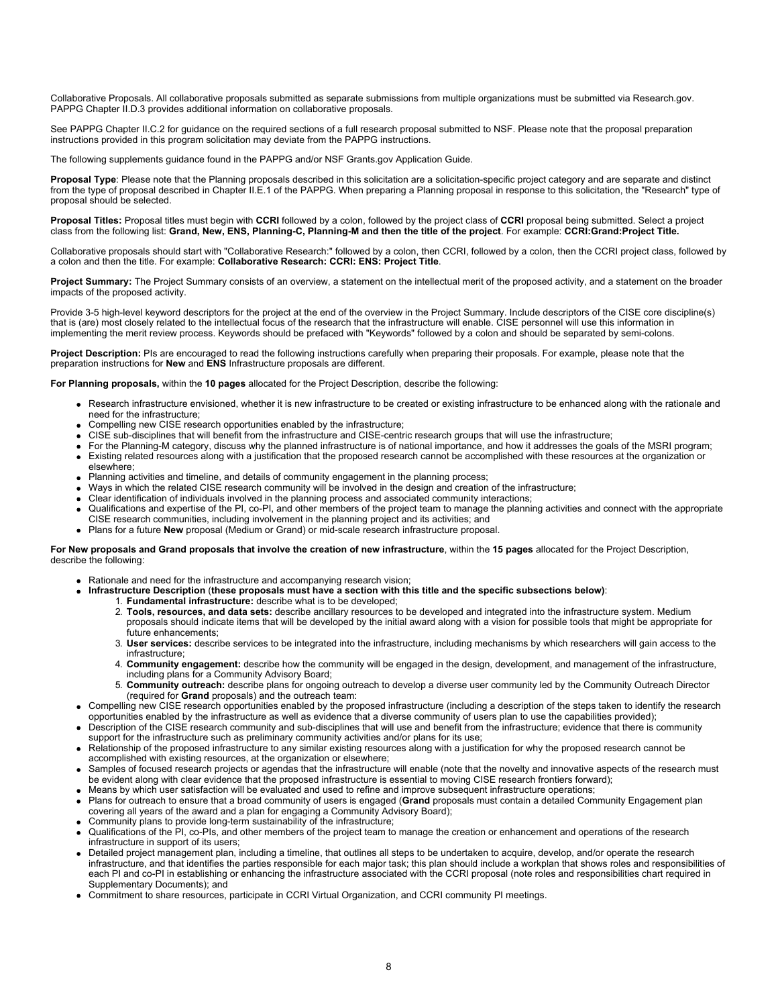Collaborative Proposals. All collaborative proposals submitted as separate submissions from multiple organizations must be submitted via Research.gov. PAPPG Chapter II.D.3 provides additional information on collaborative proposals.

See PAPPG Chapter II.C.2 for guidance on the required sections of a full research proposal submitted to NSF. Please note that the proposal preparation instructions provided in this program solicitation may deviate from the PAPPG instructions.

The following supplements guidance found in the PAPPG and/or NSF Grants.gov Application Guide.

Proposal Type: Please note that the Planning proposals described in this solicitation are a solicitation-specific project category and are separate and distinct from the type of proposal described in Chapter II.E.1 of the PAPPG. When preparing a Planning proposal in response to this solicitation, the "Research" type of proposal should be selected.

**Proposal Titles:** Proposal titles must begin with **CCRI** followed by a colon, followed by the project class of **CCRI** proposal being submitted. Select a project class from the following list: **Grand, New, ENS, Planning-C, Planning-M and then the title of the project**. For example: **CCRI:Grand:Project Title.**

Collaborative proposals should start with "Collaborative Research:" followed by a colon, then CCRI, followed by a colon, then the CCRI project class, followed by a colon and then the title. For example: **Collaborative Research: CCRI: ENS: Project Title**.

Project Summary: The Project Summary consists of an overview, a statement on the intellectual merit of the proposed activity, and a statement on the broader impacts of the proposed activity.

Provide 3-5 high-level keyword descriptors for the project at the end of the overview in the Project Summary. Include descriptors of the CISE core discipline(s) that is (are) most closely related to the intellectual focus of the research that the infrastructure will enable. CISE personnel will use this information in implementing the merit review process. Keywords should be prefaced with "Keywords" followed by a colon and should be separated by semi-colons.

**Project Description:** PIs are encouraged to read the following instructions carefully when preparing their proposals. For example, please note that the preparation instructions for **New** and **ENS** Infrastructure proposals are different.

**For Planning proposals,** within the **10 pages** allocated for the Project Description, describe the following:

- Research infrastructure envisioned, whether it is new infrastructure to be created or existing infrastructure to be enhanced along with the rationale and need for the infrastructure;
- Compelling new CISE research opportunities enabled by the infrastructure;
- CISE sub-disciplines that will benefit from the infrastructure and CISE-centric research groups that will use the infrastructure;
- For the Planning-M category, discuss why the planned infrastructure is of national importance, and how it addresses the goals of the MSRI program; Existing related resources along with a justification that the proposed research cannot be accomplished with these resources at the organization or
- elsewhere;
- Planning activities and timeline, and details of community engagement in the planning process;
- Ways in which the related CISE research community will be involved in the design and creation of the infrastructure;
- Clear identification of individuals involved in the planning process and associated community interactions; Qualifications and expertise of the PI, co-PI, and other members of the project team to manage the planning activities and connect with the appropriate CISE research communities, including involvement in the planning project and its activities; and
- Plans for a future **New** proposal (Medium or Grand) or mid-scale research infrastructure proposal.

#### **For New proposals and Grand proposals that involve the creation of new infrastructure**, within the **15 pages** allocated for the Project Description, describe the following:

- Rationale and need for the infrastructure and accompanying research vision;
- **Infrastructure Description** (**these proposals must have a section with this title and the specific subsections below)**:
	- 1. **Fundamental infrastructure:** describe what is to be developed;
		- 2. **Tools, resources, and data sets:** describe ancillary resources to be developed and integrated into the infrastructure system. Medium proposals should indicate items that will be developed by the initial award along with a vision for possible tools that might be appropriate for future enhancements;
		- 3. **User services:** describe services to be integrated into the infrastructure, including mechanisms by which researchers will gain access to the infrastructure;
		- 4. **Community engagement:** describe how the community will be engaged in the design, development, and management of the infrastructure, including plans for a Community Advisory Board;
		- 5. **Community outreach:** describe plans for ongoing outreach to develop a diverse user community led by the Community Outreach Director (required for **Grand** proposals) and the outreach team:
- Compelling new CISE research opportunities enabled by the proposed infrastructure (including a description of the steps taken to identify the research opportunities enabled by the infrastructure as well as evidence that a diverse community of users plan to use the capabilities provided);
- Description of the CISE research community and sub-disciplines that will use and benefit from the infrastructure; evidence that there is community support for the infrastructure such as preliminary community activities and/or plans for its use;
- Relationship of the proposed infrastructure to any similar existing resources along with a justification for why the proposed research cannot be accomplished with existing resources, at the organization or elsewhere;
- Samples of focused research projects or agendas that the infrastructure will enable (note that the novelty and innovative aspects of the research must be evident along with clear evidence that the proposed infrastructure is essential to moving CISE research frontiers forward);
- Means by which user satisfaction will be evaluated and used to refine and improve subsequent infrastructure operations;
- Plans for outreach to ensure that a broad community of users is engaged (**Grand** proposals must contain a detailed Community Engagement plan covering all years of the award and a plan for engaging a Community Advisory Board);
- Community plans to provide long-term sustainability of the infrastructure;
- Qualifications of the PI, co-PIs, and other members of the project team to manage the creation or enhancement and operations of the research infrastructure in support of its users;
- Detailed project management plan, including a timeline, that outlines all steps to be undertaken to acquire, develop, and/or operate the research infrastructure, and that identifies the parties responsible for each major task; this plan should include a workplan that shows roles and responsibilities of each PI and co-PI in establishing or enhancing the infrastructure associated with the CCRI proposal (note roles and responsibilities chart required in Supplementary Documents); and
- Commitment to share resources, participate in CCRI Virtual Organization, and CCRI community PI meetings.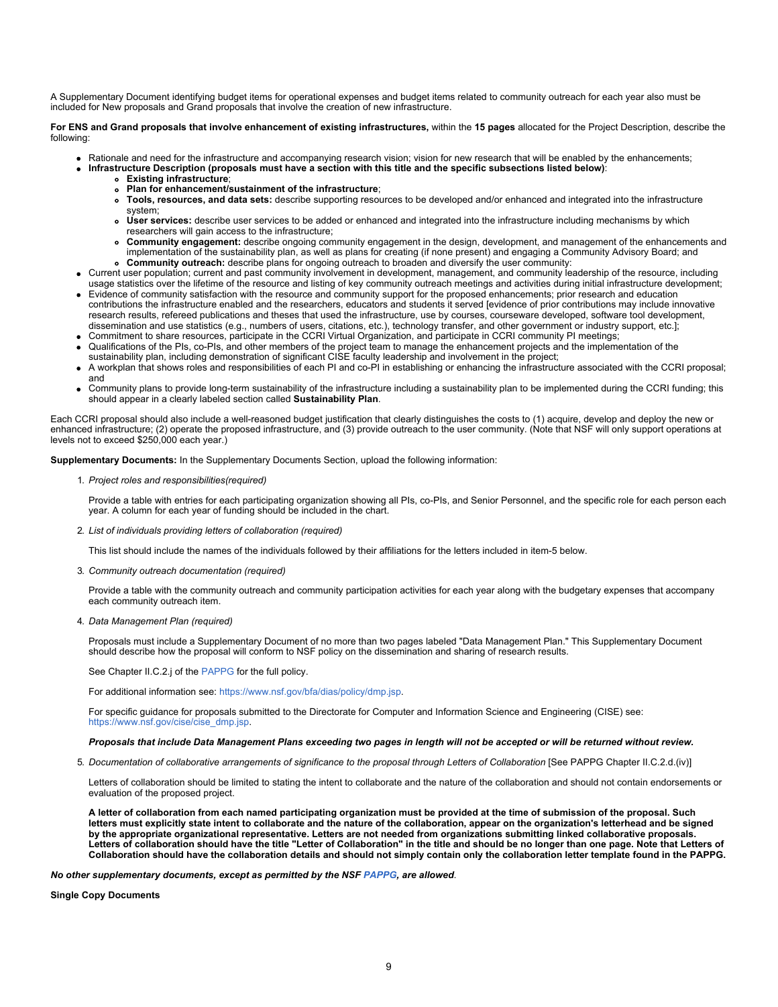A Supplementary Document identifying budget items for operational expenses and budget items related to community outreach for each year also must be included for New proposals and Grand proposals that involve the creation of new infrastructure.

**For ENS and Grand proposals that involve enhancement of existing infrastructures,** within the **15 pages** allocated for the Project Description, describe the following:

Rationale and need for the infrastructure and accompanying research vision; vision for new research that will be enabled by the enhancements;

**Infrastructure Description (proposals must have a section with this title and the specific subsections listed below)**:

- **Existing infrastructure**;
- **Plan for enhancement/sustainment of the infrastructure**;
- **Tools, resources, and data sets:** describe supporting resources to be developed and/or enhanced and integrated into the infrastructure system;
- **User services:** describe user services to be added or enhanced and integrated into the infrastructure including mechanisms by which researchers will gain access to the infrastructure;
- **Community engagement:** describe ongoing community engagement in the design, development, and management of the enhancements and implementation of the sustainability plan, as well as plans for creating (if none present) and engaging a Community Advisory Board; and **Community outreach:** describe plans for ongoing outreach to broaden and diversify the user community:
- Current user population; current and past community involvement in development, management, and community leadership of the resource, including usage statistics over the lifetime of the resource and listing of key community outreach meetings and activities during initial infrastructure development;
- Evidence of community satisfaction with the resource and community support for the proposed enhancements; prior research and education contributions the infrastructure enabled and the researchers, educators and students it served [evidence of prior contributions may include innovative research results, refereed publications and theses that used the infrastructure, use by courses, courseware developed, software tool development, dissemination and use statistics (e.g., numbers of users, citations, etc.), technology transfer, and other government or industry support, etc.];
- Commitment to share resources, participate in the CCRI Virtual Organization, and participate in CCRI community PI meetings;
- Qualifications of the PIs, co-PIs, and other members of the project team to manage the enhancement projects and the implementation of the
- sustainability plan, including demonstration of significant CISE faculty leadership and involvement in the project; A workplan that shows roles and responsibilities of each PI and co-PI in establishing or enhancing the infrastructure associated with the CCRI proposal; and
- Community plans to provide long-term sustainability of the infrastructure including a sustainability plan to be implemented during the CCRI funding; this should appear in a clearly labeled section called **Sustainability Plan**.

Each CCRI proposal should also include a well-reasoned budget justification that clearly distinguishes the costs to (1) acquire, develop and deploy the new or enhanced infrastructure; (2) operate the proposed infrastructure, and (3) provide outreach to the user community. (Note that NSF will only support operations at levels not to exceed \$250,000 each year.)

**Supplementary Documents:** In the Supplementary Documents Section, upload the following information:

1. *Project roles and responsibilities(required)*

Provide a table with entries for each participating organization showing all PIs, co-PIs, and Senior Personnel, and the specific role for each person each year. A column for each year of funding should be included in the chart.

2. *List of individuals providing letters of collaboration (required)*

This list should include the names of the individuals followed by their affiliations for the letters included in item-5 below.

3. *Community outreach documentation (required)*

Provide a table with the community outreach and community participation activities for each year along with the budgetary expenses that accompany each community outreach item.

4. *Data Management Plan (required)*

Proposals must include a Supplementary Document of no more than two pages labeled "Data Management Plan." This Supplementary Document should describe how the proposal will conform to NSF policy on the dissemination and sharing of research results.

See Chapter II.C.2.j of the [PAPPG](https://www.nsf.gov/publications/pub_summ.jsp?ods_key=pappg) for the full policy.

For additional information see: [https://www.nsf.gov/bfa/dias/policy/dmp.jsp.](https://www.nsf.gov/bfa/dias/policy/dmp.jsp)

For specific guidance for proposals submitted to the Directorate for Computer and Information Science and Engineering (CISE) see: [https://www.nsf.gov/cise/cise\\_dmp.jsp](https://www.nsf.gov/cise/cise_dmp.jsp).

#### *Proposals that include Data Management Plans exceeding two pages in length will not be accepted or will be returned without review.*

5. *Documentation of collaborative arrangements of significance to the proposal through Letters of Collaboration* [See PAPPG Chapter II.C.2.d.(iv)]

Letters of collaboration should be limited to stating the intent to collaborate and the nature of the collaboration and should not contain endorsements or evaluation of the proposed project.

**A letter of collaboration from each named participating organization must be provided at the time of submission of the proposal. Such letters must explicitly state intent to collaborate and the nature of the collaboration, appear on the organization's letterhead and be signed by the appropriate organizational representative. Letters are not needed from organizations submitting linked collaborative proposals. Letters of collaboration should have the title "Letter of Collaboration" in the title and should be no longer than one page. Note that Letters of Collaboration should have the collaboration details and should not simply contain only the collaboration letter template found in the PAPPG.**

#### *No other supplementary documents, except as permitted by the NSF [PAPPG](https://nsf.gov/publications/pub_summ.jsp?ods_key=pappg), are allowed*.

**Single Copy Documents**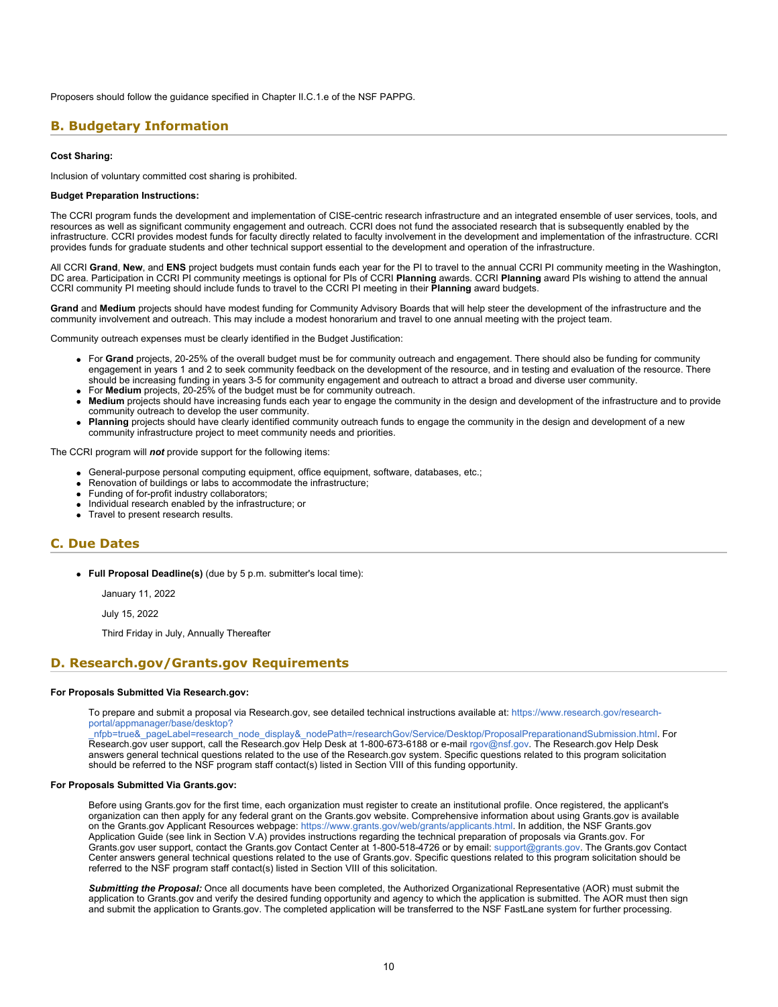Proposers should follow the guidance specified in Chapter II.C.1.e of the NSF PAPPG.

### <span id="page-9-0"></span>**B. Budgetary Information**

#### **Cost Sharing:**

Inclusion of voluntary committed cost sharing is prohibited.

#### **Budget Preparation Instructions:**

The CCRI program funds the development and implementation of CISE-centric research infrastructure and an integrated ensemble of user services, tools, and resources as well as significant community engagement and outreach. CCRI does not fund the associated research that is subsequently enabled by the infrastructure. CCRI provides modest funds for faculty directly related to faculty involvement in the development and implementation of the infrastructure. CCRI provides funds for graduate students and other technical support essential to the development and operation of the infrastructure.

All CCRI **Grand**, **New**, and **ENS** project budgets must contain funds each year for the PI to travel to the annual CCRI PI community meeting in the Washington, DC area. Participation in CCRI PI community meetings is optional for PIs of CCRI **Planning** awards. CCRI **Planning** award PIs wishing to attend the annual CCRI community PI meeting should include funds to travel to the CCRI PI meeting in their **Planning** award budgets.

**Grand** and **Medium** projects should have modest funding for Community Advisory Boards that will help steer the development of the infrastructure and the community involvement and outreach. This may include a modest honorarium and travel to one annual meeting with the project team.

Community outreach expenses must be clearly identified in the Budget Justification:

- For **Grand** projects, 20-25% of the overall budget must be for community outreach and engagement. There should also be funding for community engagement in years 1 and 2 to seek community feedback on the development of the resource, and in testing and evaluation of the resource. There should be increasing funding in years 3-5 for community engagement and outreach to attract a broad and diverse user community.
- For **Medium** projects, 20-25% of the budget must be for community outreach.
- **Medium** projects should have increasing funds each year to engage the community in the design and development of the infrastructure and to provide community outreach to develop the user community.
- **Planning** projects should have clearly identified community outreach funds to engage the community in the design and development of a new community infrastructure project to meet community needs and priorities.

The CCRI program will *not* provide support for the following items:

- General-purpose personal computing equipment, office equipment, software, databases, etc.;
- Renovation of buildings or labs to accommodate the infrastructure;
- Funding of for-profit industry collaborators;
- Individual research enabled by the infrastructure; or
- Travel to present research results.

### <span id="page-9-1"></span>**C. Due Dates**

**Full Proposal Deadline(s)** (due by 5 p.m. submitter's local time):

January 11, 2022

July 15, 2022

Third Friday in July, Annually Thereafter

### <span id="page-9-2"></span>**D. Research.gov/Grants.gov Requirements**

#### **For Proposals Submitted Via Research.gov:**

To prepare and submit a proposal via Research.gov, see detailed technical instructions available at: [https://www.research.gov/research](https://www.research.gov/research-portal/appmanager/base/desktop?_nfpb=true&_pageLabel=research_node_display&_nodePath=/researchGov/Service/Desktop/ProposalPreparationandSubmission.html)[portal/appmanager/base/desktop?](https://www.research.gov/research-portal/appmanager/base/desktop?_nfpb=true&_pageLabel=research_node_display&_nodePath=/researchGov/Service/Desktop/ProposalPreparationandSubmission.html)

[\\_nfpb=true&\\_pageLabel=research\\_node\\_display&\\_nodePath=/researchGov/Service/Desktop/ProposalPreparationandSubmission.html](https://www.research.gov/research-portal/appmanager/base/desktop?_nfpb=true&_pageLabel=research_node_display&_nodePath=/researchGov/Service/Desktop/ProposalPreparationandSubmission.html). For Research.gov user support, call the Research.gov Help Desk at 1-800-673-6188 or e-mail [rgov@nsf.gov](mailto:rgov@nsf.gov). The Research.gov Help Desk answers general technical questions related to the use of the Research.gov system. Specific questions related to this program solicitation should be referred to the NSF program staff contact(s) listed in Section VIII of this funding opportunity.

#### **For Proposals Submitted Via Grants.gov:**

Before using Grants.gov for the first time, each organization must register to create an institutional profile. Once registered, the applicant's organization can then apply for any federal grant on the Grants.gov website. Comprehensive information about using Grants.gov is available on the Grants.gov Applicant Resources webpage:<https://www.grants.gov/web/grants/applicants.html>. In addition, the NSF Grants.gov Application Guide (see link in Section V.A) provides instructions regarding the technical preparation of proposals via Grants.gov. For Grants.gov user support, contact the Grants.gov Contact Center at 1-800-518-4726 or by email: [support@grants.gov.](mailto:support@grants.gov) The Grants.gov Contact Center answers general technical questions related to the use of Grants.gov. Specific questions related to this program solicitation should be referred to the NSF program staff contact(s) listed in Section VIII of this solicitation.

*Submitting the Proposal:* Once all documents have been completed, the Authorized Organizational Representative (AOR) must submit the application to Grants.gov and verify the desired funding opportunity and agency to which the application is submitted. The AOR must then sign and submit the application to Grants.gov. The completed application will be transferred to the NSF FastLane system for further processing.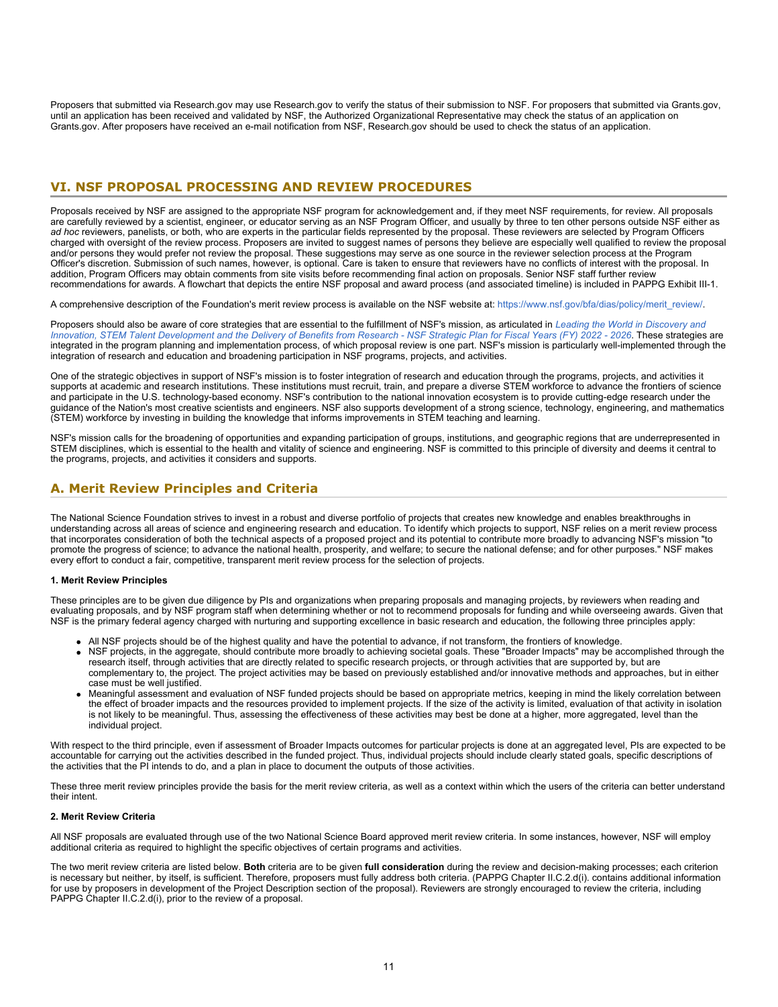Proposers that submitted via Research.gov may use Research.gov to verify the status of their submission to NSF. For proposers that submitted via Grants.gov, until an application has been received and validated by NSF, the Authorized Organizational Representative may check the status of an application on Grants.gov. After proposers have received an e-mail notification from NSF, Research.gov should be used to check the status of an application.

### <span id="page-10-0"></span>**VI. NSF PROPOSAL PROCESSING AND REVIEW PROCEDURES**

Proposals received by NSF are assigned to the appropriate NSF program for acknowledgement and, if they meet NSF requirements, for review. All proposals are carefully reviewed by a scientist, engineer, or educator serving as an NSF Program Officer, and usually by three to ten other persons outside NSF either as *ad hoc* reviewers, panelists, or both, who are experts in the particular fields represented by the proposal. These reviewers are selected by Program Officers charged with oversight of the review process. Proposers are invited to suggest names of persons they believe are especially well qualified to review the proposal and/or persons they would prefer not review the proposal. These suggestions may serve as one source in the reviewer selection process at the Program Officer's discretion. Submission of such names, however, is optional. Care is taken to ensure that reviewers have no conflicts of interest with the proposal. In addition, Program Officers may obtain comments from site visits before recommending final action on proposals. Senior NSF staff further review recommendations for awards. A flowchart that depicts the entire NSF proposal and award process (and associated timeline) is included in PAPPG Exhibit III-1.

A comprehensive description of the Foundation's merit review process is available on the NSF website at: [https://www.nsf.gov/bfa/dias/policy/merit\\_review/](https://www.nsf.gov/bfa/dias/policy/merit_review/).

Proposers should also be aware of core strategies that are essential to the fulfillment of NSF's mission, as articulated in *[Leading the World in Discovery and](https://www.nsf.gov/publications/pub_summ.jsp?ods_key=nsf22068) [Innovation, STEM Talent Development and the Delivery of Benefits from Research - NSF Strategic Plan for Fiscal Years \(FY\) 2022 - 2026](https://www.nsf.gov/publications/pub_summ.jsp?ods_key=nsf22068)*. These strategies are integrated in the program planning and implementation process, of which proposal review is one part. NSF's mission is particularly well-implemented through the integration of research and education and broadening participation in NSF programs, projects, and activities.

One of the strategic objectives in support of NSF's mission is to foster integration of research and education through the programs, projects, and activities it supports at academic and research institutions. These institutions must recruit, train, and prepare a diverse STEM workforce to advance the frontiers of science and participate in the U.S. technology-based economy. NSF's contribution to the national innovation ecosystem is to provide cutting-edge research under the guidance of the Nation's most creative scientists and engineers. NSF also supports development of a strong science, technology, engineering, and mathematics (STEM) workforce by investing in building the knowledge that informs improvements in STEM teaching and learning.

NSF's mission calls for the broadening of opportunities and expanding participation of groups, institutions, and geographic regions that are underrepresented in STEM disciplines, which is essential to the health and vitality of science and engineering. NSF is committed to this principle of diversity and deems it central to the programs, projects, and activities it considers and supports.

### <span id="page-10-1"></span>**A. Merit Review Principles and Criteria**

The National Science Foundation strives to invest in a robust and diverse portfolio of projects that creates new knowledge and enables breakthroughs in understanding across all areas of science and engineering research and education. To identify which projects to support, NSF relies on a merit review process that incorporates consideration of both the technical aspects of a proposed project and its potential to contribute more broadly to advancing NSF's mission "to promote the progress of science; to advance the national health, prosperity, and welfare; to secure the national defense; and for other purposes." NSF makes every effort to conduct a fair, competitive, transparent merit review process for the selection of projects.

#### **1. Merit Review Principles**

These principles are to be given due diligence by PIs and organizations when preparing proposals and managing projects, by reviewers when reading and evaluating proposals, and by NSF program staff when determining whether or not to recommend proposals for funding and while overseeing awards. Given that NSF is the primary federal agency charged with nurturing and supporting excellence in basic research and education, the following three principles apply:

- All NSF projects should be of the highest quality and have the potential to advance, if not transform, the frontiers of knowledge.
- NSF projects, in the aggregate, should contribute more broadly to achieving societal goals. These "Broader Impacts" may be accomplished through the research itself, through activities that are directly related to specific research projects, or through activities that are supported by, but are complementary to, the project. The project activities may be based on previously established and/or innovative methods and approaches, but in either case must be well justified.
- Meaningful assessment and evaluation of NSF funded projects should be based on appropriate metrics, keeping in mind the likely correlation between the effect of broader impacts and the resources provided to implement projects. If the size of the activity is limited, evaluation of that activity in isolation is not likely to be meaningful. Thus, assessing the effectiveness of these activities may best be done at a higher, more aggregated, level than the individual project.

With respect to the third principle, even if assessment of Broader Impacts outcomes for particular projects is done at an aggregated level, PIs are expected to be accountable for carrying out the activities described in the funded project. Thus, individual projects should include clearly stated goals, specific descriptions of the activities that the PI intends to do, and a plan in place to document the outputs of those activities.

These three merit review principles provide the basis for the merit review criteria, as well as a context within which the users of the criteria can better understand their intent.

#### **2. Merit Review Criteria**

All NSF proposals are evaluated through use of the two National Science Board approved merit review criteria. In some instances, however, NSF will employ additional criteria as required to highlight the specific objectives of certain programs and activities.

The two merit review criteria are listed below. **Both** criteria are to be given **full consideration** during the review and decision-making processes; each criterion is necessary but neither, by itself, is sufficient. Therefore, proposers must fully address both criteria. (PAPPG Chapter II.C.2.d(i). contains additional information for use by proposers in development of the Project Description section of the proposal). Reviewers are strongly encouraged to review the criteria, including PAPPG Chapter II.C.2.d(i), prior to the review of a proposal.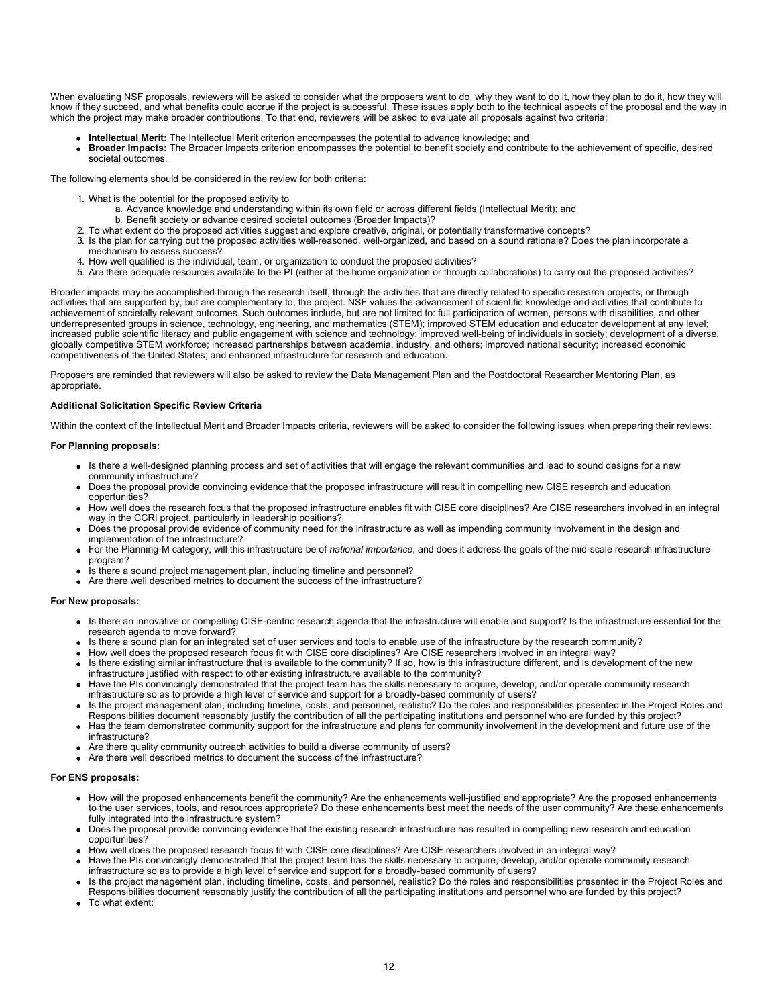When evaluating NSF proposals, reviewers will be asked to consider what the proposers want to do, why they want to do it, how they plan to do it, how they will know if they succeed, and what benefits could accrue if the project is successful. These issues apply both to the technical aspects of the proposal and the way in which the project may make broader contributions. To that end, reviewers will be asked to evaluate all proposals against two criteria:

- **Intellectual Merit:** The Intellectual Merit criterion encompasses the potential to advance knowledge; and
- **Broader Impacts:** The Broader Impacts criterion encompasses the potential to benefit society and contribute to the achievement of specific, desired societal outcomes.

The following elements should be considered in the review for both criteria:

- 1. What is the potential for the proposed activity to
	- a. Advance knowledge and understanding within its own field or across different fields (Intellectual Merit); and
		- b. Benefit society or advance desired societal outcomes (Broader Impacts)?
- 2. To what extent do the proposed activities suggest and explore creative, original, or potentially transformative concepts?
- 3. Is the plan for carrying out the proposed activities well-reasoned, well-organized, and based on a sound rationale? Does the plan incorporate a mechanism to assess success?
- 4. How well qualified is the individual, team, or organization to conduct the proposed activities?
- 5. Are there adequate resources available to the PI (either at the home organization or through collaborations) to carry out the proposed activities?

Broader impacts may be accomplished through the research itself, through the activities that are directly related to specific research projects, or through activities that are supported by, but are complementary to, the project. NSF values the advancement of scientific knowledge and activities that contribute to achievement of societally relevant outcomes. Such outcomes include, but are not limited to: full participation of women, persons with disabilities, and other underrepresented groups in science, technology, engineering, and mathematics (STEM); improved STEM education and educator development at any level; increased public scientific literacy and public engagement with science and technology; improved well-being of individuals in society; development of a diverse, globally competitive STEM workforce; increased partnerships between academia, industry, and others; improved national security; increased economic competitiveness of the United States; and enhanced infrastructure for research and education.

Proposers are reminded that reviewers will also be asked to review the Data Management Plan and the Postdoctoral Researcher Mentoring Plan, as appropriate.

#### **Additional Solicitation Specific Review Criteria**

Within the context of the Intellectual Merit and Broader Impacts criteria, reviewers will be asked to consider the following issues when preparing their reviews:

#### **For Planning proposals:**

- Is there a well-designed planning process and set of activities that will engage the relevant communities and lead to sound designs for a new community infrastructure?
- Does the proposal provide convincing evidence that the proposed infrastructure will result in compelling new CISE research and education opportunities?
- How well does the research focus that the proposed infrastructure enables fit with CISE core disciplines? Are CISE researchers involved in an integral way in the CCRI project, particularly in leadership positions?
- Does the proposal provide evidence of community need for the infrastructure as well as impending community involvement in the design and implementation of the infrastructure?
- For the Planning-M category, will this infrastructure be of *national importance*, and does it address the goals of the mid-scale research infrastructure program?
- Is there a sound project management plan, including timeline and personnel?
- Are there well described metrics to document the success of the infrastructure?

#### **For New proposals:**

- Is there an innovative or compelling CISE-centric research agenda that the infrastructure will enable and support? Is the infrastructure essential for the research agenda to move forward?
- Is there a sound plan for an integrated set of user services and tools to enable use of the infrastructure by the research community?
- How well does the proposed research focus fit with CISE core disciplines? Are CISE researchers involved in an integral way?
- Is there existing similar infrastructure that is available to the community? If so, how is this infrastructure different, and is development of the new infrastructure justified with respect to other existing infrastructure available to the community?
- Have the PIs convincingly demonstrated that the project team has the skills necessary to acquire, develop, and/or operate community research infrastructure so as to provide a high level of service and support for a broadly-based community of users?
- Is the project management plan, including timeline, costs, and personnel, realistic? Do the roles and responsibilities presented in the Project Roles and Responsibilities document reasonably justify the contribution of all the participating institutions and personnel who are funded by this project?
- Has the team demonstrated community support for the infrastructure and plans for community involvement in the development and future use of the infrastructure?
- Are there quality community outreach activities to build a diverse community of users?
- Are there well described metrics to document the success of the infrastructure?

#### **For ENS proposals:**

- How will the proposed enhancements benefit the community? Are the enhancements well-justified and appropriate? Are the proposed enhancements to the user services, tools, and resources appropriate? Do these enhancements best meet the needs of the user community? Are these enhancements fully integrated into the infrastructure system?
- Does the proposal provide convincing evidence that the existing research infrastructure has resulted in compelling new research and education opportunities?
- How well does the proposed research focus fit with CISE core disciplines? Are CISE researchers involved in an integral way?
- Have the PIs convincingly demonstrated that the project team has the skills necessary to acquire, develop, and/or operate community research infrastructure so as to provide a high level of service and support for a broadly-based community of users?
- Is the project management plan, including timeline, costs, and personnel, realistic? Do the roles and responsibilities presented in the Project Roles and Responsibilities document reasonably justify the contribution of all the participating institutions and personnel who are funded by this project?
- To what extent: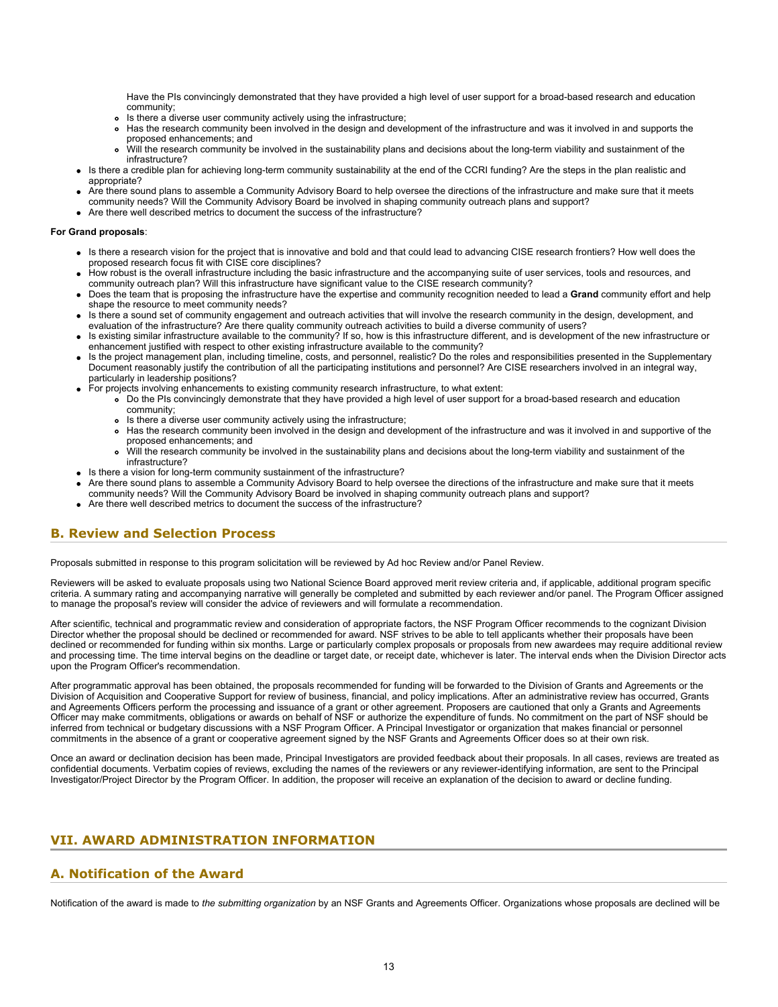Have the PIs convincingly demonstrated that they have provided a high level of user support for a broad-based research and education community;

- Is there a diverse user community actively using the infrastructure;
- Has the research community been involved in the design and development of the infrastructure and was it involved in and supports the proposed enhancements; and
- Will the research community be involved in the sustainability plans and decisions about the long-term viability and sustainment of the  $\bullet$ infrastructure?
- Is there a credible plan for achieving long-term community sustainability at the end of the CCRI funding? Are the steps in the plan realistic and appropriate?
- Are there sound plans to assemble a Community Advisory Board to help oversee the directions of the infrastructure and make sure that it meets community needs? Will the Community Advisory Board be involved in shaping community outreach plans and support?
- Are there well described metrics to document the success of the infrastructure?

#### **For Grand proposals**:

- Is there a research vision for the project that is innovative and bold and that could lead to advancing CISE research frontiers? How well does the proposed research focus fit with CISE core disciplines?
- How robust is the overall infrastructure including the basic infrastructure and the accompanying suite of user services, tools and resources, and community outreach plan? Will this infrastructure have significant value to the CISE research community?
- Does the team that is proposing the infrastructure have the expertise and community recognition needed to lead a **Grand** community effort and help shape the resource to meet community needs?
- Is there a sound set of community engagement and outreach activities that will involve the research community in the design, development, and evaluation of the infrastructure? Are there quality community outreach activities to build a diverse community of users?
- Is existing similar infrastructure available to the community? If so, how is this infrastructure different, and is development of the new infrastructure or enhancement justified with respect to other existing infrastructure available to the community?
- Is the project management plan, including timeline, costs, and personnel, realistic? Do the roles and responsibilities presented in the Supplementary Document reasonably justify the contribution of all the participating institutions and personnel? Are CISE researchers involved in an integral way, particularly in leadership positions?
- For projects involving enhancements to existing community research infrastructure, to what extent:
	- Do the PIs convincingly demonstrate that they have provided a high level of user support for a broad-based research and education community;
	- Is there a diverse user community actively using the infrastructure;
	- Has the research community been involved in the design and development of the infrastructure and was it involved in and supportive of the proposed enhancements; and
	- Will the research community be involved in the sustainability plans and decisions about the long-term viability and sustainment of the  $\bullet$ infrastructure?
- Is there a vision for long-term community sustainment of the infrastructure?
- Are there sound plans to assemble a Community Advisory Board to help oversee the directions of the infrastructure and make sure that it meets community needs? Will the Community Advisory Board be involved in shaping community outreach plans and support?
- Are there well described metrics to document the success of the infrastructure?

### <span id="page-12-0"></span>**B. Review and Selection Process**

Proposals submitted in response to this program solicitation will be reviewed by Ad hoc Review and/or Panel Review.

Reviewers will be asked to evaluate proposals using two National Science Board approved merit review criteria and, if applicable, additional program specific criteria. A summary rating and accompanying narrative will generally be completed and submitted by each reviewer and/or panel. The Program Officer assigned to manage the proposal's review will consider the advice of reviewers and will formulate a recommendation.

After scientific, technical and programmatic review and consideration of appropriate factors, the NSF Program Officer recommends to the cognizant Division Director whether the proposal should be declined or recommended for award. NSF strives to be able to tell applicants whether their proposals have been declined or recommended for funding within six months. Large or particularly complex proposals or proposals from new awardees may require additional review and processing time. The time interval begins on the deadline or target date, or receipt date, whichever is later. The interval ends when the Division Director acts upon the Program Officer's recommendation.

After programmatic approval has been obtained, the proposals recommended for funding will be forwarded to the Division of Grants and Agreements or the Division of Acquisition and Cooperative Support for review of business, financial, and policy implications. After an administrative review has occurred, Grants and Agreements Officers perform the processing and issuance of a grant or other agreement. Proposers are cautioned that only a Grants and Agreements Officer may make commitments, obligations or awards on behalf of NSF or authorize the expenditure of funds. No commitment on the part of NSF should be inferred from technical or budgetary discussions with a NSF Program Officer. A Principal Investigator or organization that makes financial or personnel commitments in the absence of a grant or cooperative agreement signed by the NSF Grants and Agreements Officer does so at their own risk.

Once an award or declination decision has been made, Principal Investigators are provided feedback about their proposals. In all cases, reviews are treated as confidential documents. Verbatim copies of reviews, excluding the names of the reviewers or any reviewer-identifying information, are sent to the Principal Investigator/Project Director by the Program Officer. In addition, the proposer will receive an explanation of the decision to award or decline funding.

# <span id="page-12-1"></span>**VII. AWARD ADMINISTRATION INFORMATION**

# <span id="page-12-2"></span>**A. Notification of the Award**

Notification of the award is made to *the submitting organization* by an NSF Grants and Agreements Officer. Organizations whose proposals are declined will be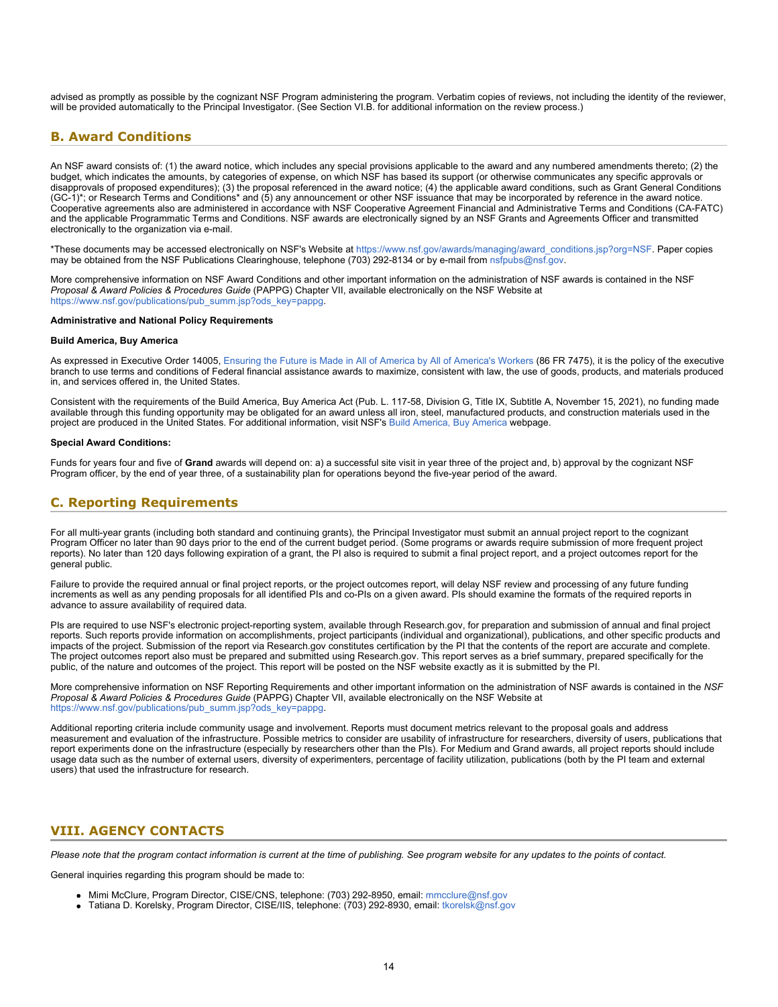advised as promptly as possible by the cognizant NSF Program administering the program. Verbatim copies of reviews, not including the identity of the reviewer, will be provided automatically to the Principal Investigator. (See Section VI.B. for additional information on the review process.)

# <span id="page-13-0"></span>**B. Award Conditions**

An NSF award consists of: (1) the award notice, which includes any special provisions applicable to the award and any numbered amendments thereto; (2) the budget, which indicates the amounts, by categories of expense, on which NSF has based its support (or otherwise communicates any specific approvals or disapprovals of proposed expenditures); (3) the proposal referenced in the award notice; (4) the applicable award conditions, such as Grant General Conditions (GC-1)\*; or Research Terms and Conditions\* and (5) any announcement or other NSF issuance that may be incorporated by reference in the award notice. Cooperative agreements also are administered in accordance with NSF Cooperative Agreement Financial and Administrative Terms and Conditions (CA-FATC) and the applicable Programmatic Terms and Conditions. NSF awards are electronically signed by an NSF Grants and Agreements Officer and transmitted electronically to the organization via e-mail.

\*These documents may be accessed electronically on NSF's Website at [https://www.nsf.gov/awards/managing/award\\_conditions.jsp?org=NSF](https://www.nsf.gov/awards/managing/award_conditions.jsp?org=NSF). Paper copies may be obtained from the NSF Publications Clearinghouse, telephone (703) 292-8134 or by e-mail from [nsfpubs@nsf.gov.](mailto:nsfpubs@nsf.gov)

More comprehensive information on NSF Award Conditions and other important information on the administration of NSF awards is contained in the NSF *Proposal & Award Policies & Procedures Guide* (PAPPG) Chapter VII, available electronically on the NSF Website at [https://www.nsf.gov/publications/pub\\_summ.jsp?ods\\_key=pappg.](https://www.nsf.gov/publications/pub_summ.jsp?ods_key=pappg)

#### **Administrative and National Policy Requirements**

#### **Build America, Buy America**

As expressed in Executive Order 14005, [Ensuring the Future is Made in All of America by All of America's Workers](https://www.federalregister.gov/documents/2021/01/28/2021-02038/ensuring-the-future-is-made-in-all-of-america-by-all-of-americas-workers) (86 FR 7475), it is the policy of the executive branch to use terms and conditions of Federal financial assistance awards to maximize, consistent with law, the use of goods, products, and materials produced in, and services offered in, the United States.

Consistent with the requirements of the Build America, Buy America Act (Pub. L. 117-58, Division G, Title IX, Subtitle A, November 15, 2021), no funding made available through this funding opportunity may be obligated for an award unless all iron, steel, manufactured products, and construction materials used in the project are produced in the United States. For additional information, visit NSF's [Build America, Buy America](https://beta.nsf.gov/funding/build-america-buy-america) webpage.

#### **Special Award Conditions:**

Funds for years four and five of **Grand** awards will depend on: a) a successful site visit in year three of the project and, b) approval by the cognizant NSF Program officer, by the end of year three, of a sustainability plan for operations beyond the five-year period of the award.

### <span id="page-13-1"></span>**C. Reporting Requirements**

For all multi-year grants (including both standard and continuing grants), the Principal Investigator must submit an annual project report to the cognizant Program Officer no later than 90 days prior to the end of the current budget period. (Some programs or awards require submission of more frequent project reports). No later than 120 days following expiration of a grant, the PI also is required to submit a final project report, and a project outcomes report for the general public.

Failure to provide the required annual or final project reports, or the project outcomes report, will delay NSF review and processing of any future funding increments as well as any pending proposals for all identified PIs and co-PIs on a given award. PIs should examine the formats of the required reports in advance to assure availability of required data.

PIs are required to use NSF's electronic project-reporting system, available through Research.gov, for preparation and submission of annual and final project reports. Such reports provide information on accomplishments, project participants (individual and organizational), publications, and other specific products and impacts of the project. Submission of the report via Research.gov constitutes certification by the PI that the contents of the report are accurate and complete. The project outcomes report also must be prepared and submitted using Research.gov. This report serves as a brief summary, prepared specifically for the public, of the nature and outcomes of the project. This report will be posted on the NSF website exactly as it is submitted by the PI.

More comprehensive information on NSF Reporting Requirements and other important information on the administration of NSF awards is contained in the *NSF Proposal & Award Policies & Procedures Guide* (PAPPG) Chapter VII, available electronically on the NSF Website at [https://www.nsf.gov/publications/pub\\_summ.jsp?ods\\_key=pappg.](https://www.nsf.gov/publications/pub_summ.jsp?ods_key=pappg)

Additional reporting criteria include community usage and involvement. Reports must document metrics relevant to the proposal goals and address measurement and evaluation of the infrastructure. Possible metrics to consider are usability of infrastructure for researchers, diversity of users, publications that report experiments done on the infrastructure (especially by researchers other than the PIs). For Medium and Grand awards, all project reports should include usage data such as the number of external users, diversity of experimenters, percentage of facility utilization, publications (both by the PI team and external users) that used the infrastructure for research.

### <span id="page-13-2"></span>**VIII. AGENCY CONTACTS**

*Please note that the program contact information is current at the time of publishing. See program website for any updates to the points of contact.*

General inquiries regarding this program should be made to:

- Mimi McClure, Program Director, CISE/CNS, telephone: (703) 292-8950, email: [mmcclure@nsf.gov](mailto:mmcclure@nsf.gov)
- Tatiana D. Korelsky, Program Director, CISE/IIS, telephone: (703) 292-8930, email: [tkorelsk@nsf.gov](mailto:tkorelsk@nsf.gov)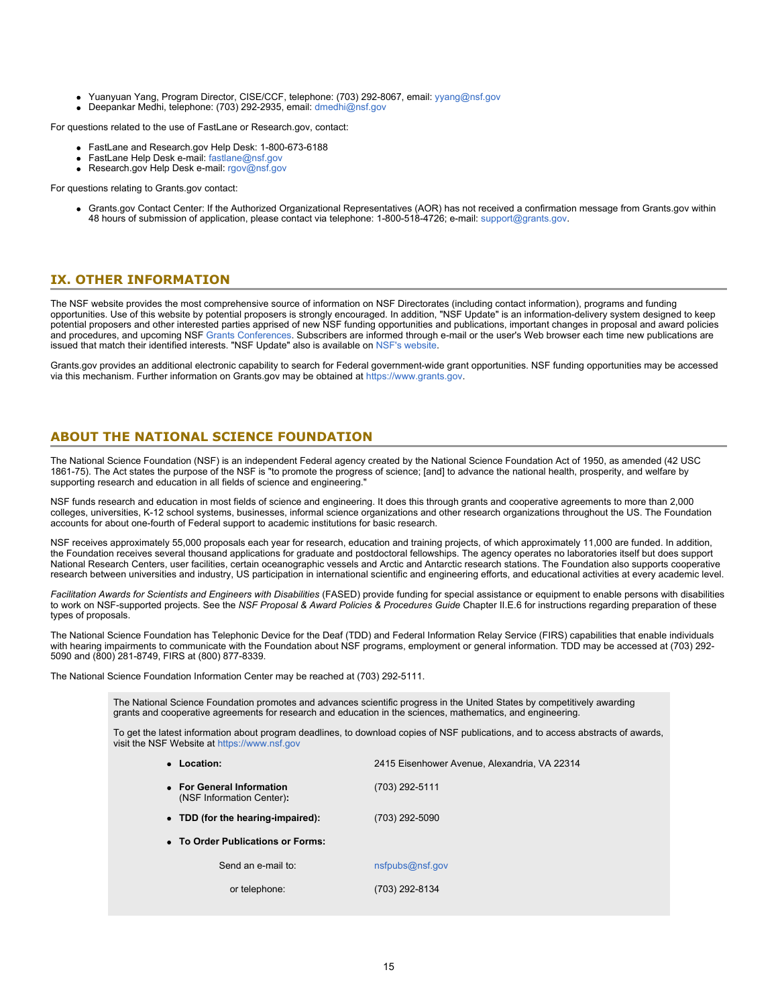- Yuanyuan Yang, Program Director, CISE/CCF, telephone: (703) 292-8067, email: [yyang@nsf.gov](mailto:yyang@nsf.gov)
- Deepankar Medhi, telephone: (703) 292-2935, email: [dmedhi@nsf.gov](mailto:dmedhi@nsf.gov)

For questions related to the use of FastLane or Research.gov, contact:

- FastLane and Research.gov Help Desk: 1-800-673-6188
- FastLane Help Desk e-mail: [fastlane@nsf.gov](mailto:fastlane@nsf.gov)
- **Research.gov Help Desk e-mail: [rgov@nsf.gov](mailto:rgov@nsf.gov)**

For questions relating to Grants.gov contact:

Grants.gov Contact Center: If the Authorized Organizational Representatives (AOR) has not received a confirmation message from Grants.gov within 48 hours of submission of application, please contact via telephone: 1-800-518-4726; e-mail: [support@grants.gov](mailto:support@grants.gov).

### <span id="page-14-0"></span>**IX. OTHER INFORMATION**

The NSF website provides the most comprehensive source of information on NSF Directorates (including contact information), programs and funding opportunities. Use of this website by potential proposers is strongly encouraged. In addition, "NSF Update" is an information-delivery system designed to keep potential proposers and other interested parties apprised of new NSF funding opportunities and publications, important changes in proposal and award policies and procedures, and upcoming NSF [Grants Conferences](https://www.nsf.gov/bfa/dias/policy/outreach.jsp). Subscribers are informed through e-mail or the user's Web browser each time new publications are issued that match their identified interests. "NSF Update" also is available on [NSF's website](https://www.nsf.gov/cgi-bin/goodbye?https://public.govdelivery.com/accounts/USNSF/subscriber/new?topic_id=USNSF_179).

Grants.gov provides an additional electronic capability to search for Federal government-wide grant opportunities. NSF funding opportunities may be accessed via this mechanism. Further information on Grants.gov may be obtained at [https://www.grants.gov](https://www.grants.gov/).

### **ABOUT THE NATIONAL SCIENCE FOUNDATION**

The National Science Foundation (NSF) is an independent Federal agency created by the National Science Foundation Act of 1950, as amended (42 USC 1861-75). The Act states the purpose of the NSF is "to promote the progress of science; [and] to advance the national health, prosperity, and welfare by supporting research and education in all fields of science and engineering."

NSF funds research and education in most fields of science and engineering. It does this through grants and cooperative agreements to more than 2,000 colleges, universities, K-12 school systems, businesses, informal science organizations and other research organizations throughout the US. The Foundation accounts for about one-fourth of Federal support to academic institutions for basic research.

NSF receives approximately 55,000 proposals each year for research, education and training projects, of which approximately 11,000 are funded. In addition, the Foundation receives several thousand applications for graduate and postdoctoral fellowships. The agency operates no laboratories itself but does support National Research Centers, user facilities, certain oceanographic vessels and Arctic and Antarctic research stations. The Foundation also supports cooperative research between universities and industry, US participation in international scientific and engineering efforts, and educational activities at every academic level.

*Facilitation Awards for Scientists and Engineers with Disabilities* (FASED) provide funding for special assistance or equipment to enable persons with disabilities to work on NSF-supported projects. See the *NSF Proposal & Award Policies & Procedures Guide* Chapter II.E.6 for instructions regarding preparation of these types of proposals.

The National Science Foundation has Telephonic Device for the Deaf (TDD) and Federal Information Relay Service (FIRS) capabilities that enable individuals with hearing impairments to communicate with the Foundation about NSF programs, employment or general information. TDD may be accessed at (703) 292- 5090 and (800) 281-8749, FIRS at (800) 877-8339.

The National Science Foundation Information Center may be reached at (703) 292-5111.

The National Science Foundation promotes and advances scientific progress in the United States by competitively awarding grants and cooperative agreements for research and education in the sciences, mathematics, and engineering.

To get the latest information about program deadlines, to download copies of NSF publications, and to access abstracts of awards, visit the NSF Website at [https://www.nsf.gov](https://www.nsf.gov/)

| • Location:                                            | 2415 Eisenhower Avenue, Alexandria, VA 22314 |
|--------------------------------------------------------|----------------------------------------------|
| • For General Information<br>(NSF Information Center): | (703) 292-5111                               |
| • TDD (for the hearing-impaired):                      | (703) 292-5090                               |
| • To Order Publications or Forms:                      |                                              |
| Send an e-mail to:                                     | nsfpubs@nsf.gov                              |
| or telephone:                                          | (703) 292-8134                               |